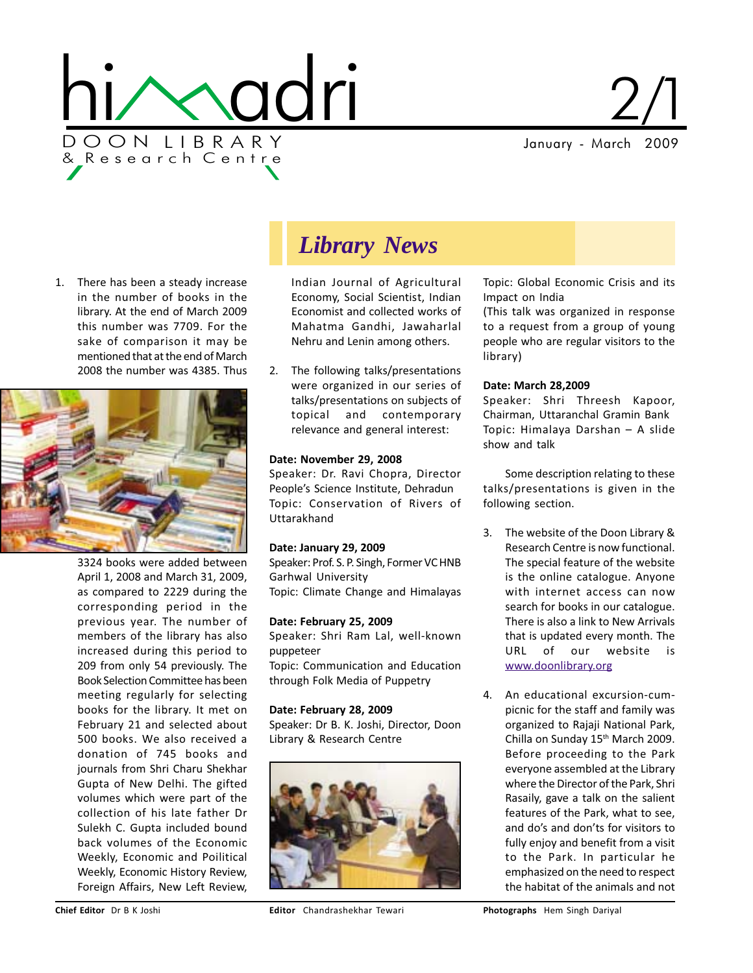

January - March 2009  $2/1$ 

1. There has been a steady increase in the number of books in the library. At the end of March 2009 this number was 7709. For the sake of comparison it may be mentioned that at the end of March 2008 the number was 4385. Thus



3324 books were added between April 1, 2008 and March 31, 2009, as compared to 2229 during the corresponding period in the previous year. The number of members of the library has also increased during this period to 209 from only 54 previously. The Book Selection Committee has been meeting regularly for selecting books for the library. It met on February 21 and selected about 500 books. We also received a donation of 745 books and journals from Shri Charu Shekhar Gupta of New Delhi. The gifted volumes which were part of the collection of his late father Dr Sulekh C. Gupta included bound back volumes of the Economic Weekly, Economic and Poilitical Weekly, Economic History Review, Foreign Affairs, New Left Review,

## *Library News*

Indian Journal of Agricultural Economy, Social Scientist, Indian Economist and collected works of Mahatma Gandhi, Jawaharlal Nehru and Lenin among others.

2. The following talks/presentations were organized in our series of talks/presentations on subjects of topical and contemporary relevance and general interest:

#### Date: November 29, 2008

Speaker: Dr. Ravi Chopra, Director People's Science Institute, Dehradun Topic: Conservation of Rivers of Uttarakhand

#### Date: January 29, 2009

Speaker: Prof. S. P. Singh, Former VC HNB Garhwal University Topic: Climate Change and Himalayas

#### Date: February 25, 2009

Speaker: Shri Ram Lal, well-known puppeteer Topic: Communication and Education through Folk Media of Puppetry

Date: February 28, 2009 Speaker: Dr B. K. Joshi, Director, Doon Library & Research Centre



Topic: Global Economic Crisis and its Impact on India

(This talk was organized in response to a request from a group of young people who are regular visitors to the library)

#### Date: March 28,2009

Speaker: Shri Threesh Kapoor, Chairman, Uttaranchal Gramin Bank Topic: Himalaya Darshan – A slide show and talk

Some description relating to these talks/presentations is given in the following section.

- 3. The website of the Doon Library & Research Centre is now functional. The special feature of the website is the online catalogue. Anyone with internet access can now search for books in our catalogue. There is also a link to New Arrivals that is updated every month. The URL of our website is www.doonlibrary.org
- 4. An educational excursion-cumpicnic for the staff and family was organized to Rajaji National Park, Chilla on Sunday 15<sup>th</sup> March 2009. Before proceeding to the Park everyone assembled at the Library where the Director of the Park, Shri Rasaily, gave a talk on the salient features of the Park, what to see, and do's and don'ts for visitors to fully enjoy and benefit from a visit to the Park. In particular he emphasized on the need to respect the habitat of the animals and not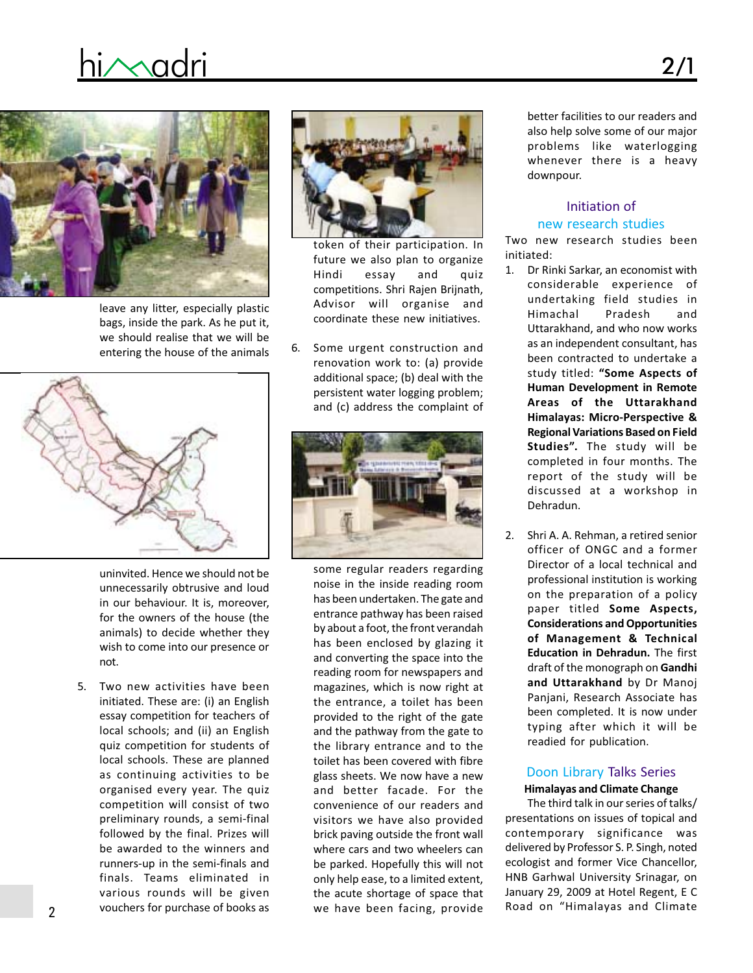# hi $\sim$ adri 2/1



leave any litter, especially plastic bags, inside the park. As he put it, we should realise that we will be entering the house of the animals



uninvited. Hence we should not be unnecessarily obtrusive and loud in our behaviour. It is, moreover, for the owners of the house (the animals) to decide whether they wish to come into our presence or not.

5. Two new activities have been initiated. These are: (i) an English essay competition for teachers of local schools; and (ii) an English quiz competition for students of local schools. These are planned as continuing activities to be organised every year. The quiz competition will consist of two preliminary rounds, a semi-final followed by the final. Prizes will be awarded to the winners and runners-up in the semi-finals and finals. Teams eliminated in various rounds will be given vouchers for purchase of books as



token of their participation. In future we also plan to organize Hindi essay and quiz competitions. Shri Rajen Brijnath, Advisor will organise and coordinate these new initiatives.

6. Some urgent construction and renovation work to: (a) provide additional space; (b) deal with the persistent water logging problem; and (c) address the complaint of



some regular readers regarding noise in the inside reading room has been undertaken. The gate and entrance pathway has been raised by about a foot, the front verandah has been enclosed by glazing it and converting the space into the reading room for newspapers and magazines, which is now right at the entrance, a toilet has been provided to the right of the gate and the pathway from the gate to the library entrance and to the toilet has been covered with fibre glass sheets. We now have a new and better facade. For the convenience of our readers and visitors we have also provided brick paving outside the front wall where cars and two wheelers can be parked. Hopefully this will not only help ease, to a limited extent, the acute shortage of space that we have been facing, provide

better facilities to our readers and also help solve some of our major problems like waterlogging whenever there is a heavy downpour.

### Initiation of new research studies

Two new research studies been initiated:

- 1. Dr Rinki Sarkar, an economist with considerable experience of undertaking field studies in Himachal Pradesh and Uttarakhand, and who now works as an independent consultant, has been contracted to undertake a study titled: "Some Aspects of Human Development in Remote Areas of the Uttarakhand Himalayas: Micro-Perspective & Regional Variations Based on Field Studies". The study will be completed in four months. The report of the study will be discussed at a workshop in Dehradun.
- 2. Shri A. A. Rehman, a retired senior officer of ONGC and a former Director of a local technical and professional institution is working on the preparation of a policy paper titled Some Aspects, Considerations and Opportunities of Management & Technical Education in Dehradun. The first draft of the monograph on Gandhi and Uttarakhand by Dr Manoj Panjani, Research Associate has been completed. It is now under typing after which it will be readied for publication.

### Doon Library Talks Series

#### Himalayas and Climate Change

The third talk in our series of talks/ presentations on issues of topical and contemporary significance was delivered by Professor S. P. Singh, noted ecologist and former Vice Chancellor, HNB Garhwal University Srinagar, on January 29, 2009 at Hotel Regent, E C Road on "Himalayas and Climate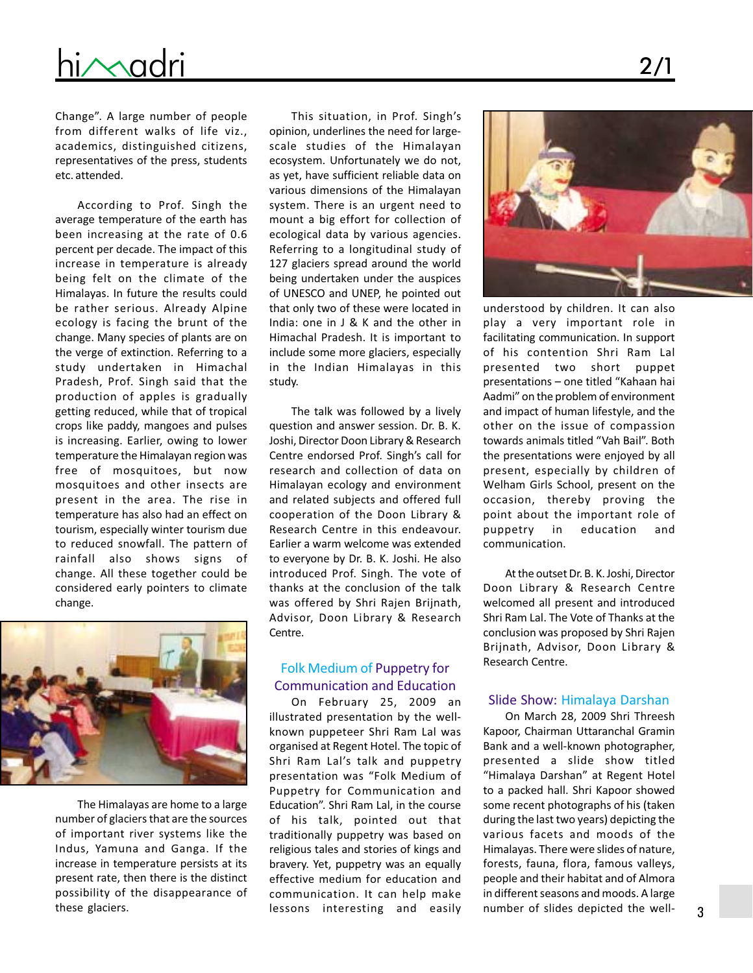

Change". A large number of people from different walks of life viz., academics, distinguished citizens, representatives of the press, students etc. attended.

According to Prof. Singh the average temperature of the earth has been increasing at the rate of 0.6 percent per decade. The impact of this increase in temperature is already being felt on the climate of the Himalayas. In future the results could be rather serious. Already Alpine ecology is facing the brunt of the change. Many species of plants are on the verge of extinction. Referring to a study undertaken in Himachal Pradesh, Prof. Singh said that the production of apples is gradually getting reduced, while that of tropical crops like paddy, mangoes and pulses is increasing. Earlier, owing to lower temperature the Himalayan region was free of mosquitoes, but now mosquitoes and other insects are present in the area. The rise in temperature has also had an effect on tourism, especially winter tourism due to reduced snowfall. The pattern of rainfall also shows signs of change. All these together could be considered early pointers to climate change.



The Himalayas are home to a large number of glaciers that are the sources of important river systems like the Indus, Yamuna and Ganga. If the increase in temperature persists at its present rate, then there is the distinct possibility of the disappearance of these glaciers.

This situation, in Prof. Singh's opinion, underlines the need for largescale studies of the Himalayan ecosystem. Unfortunately we do not, as yet, have sufficient reliable data on various dimensions of the Himalayan system. There is an urgent need to mount a big effort for collection of ecological data by various agencies. Referring to a longitudinal study of 127 glaciers spread around the world being undertaken under the auspices of UNESCO and UNEP, he pointed out that only two of these were located in India: one in J & K and the other in Himachal Pradesh. It is important to include some more glaciers, especially in the Indian Himalayas in this study.

The talk was followed by a lively question and answer session. Dr. B. K. Joshi, Director Doon Library & Research Centre endorsed Prof. Singh's call for research and collection of data on Himalayan ecology and environment and related subjects and offered full cooperation of the Doon Library & Research Centre in this endeavour. Earlier a warm welcome was extended to everyone by Dr. B. K. Joshi. He also introduced Prof. Singh. The vote of thanks at the conclusion of the talk was offered by Shri Rajen Brijnath, Advisor, Doon Library & Research Centre.

#### Folk Medium of Puppetry for Communication and Education

On February 25, 2009 an illustrated presentation by the wellknown puppeteer Shri Ram Lal was organised at Regent Hotel. The topic of Shri Ram Lal's talk and puppetry presentation was "Folk Medium of Puppetry for Communication and Education". Shri Ram Lal, in the course of his talk, pointed out that traditionally puppetry was based on religious tales and stories of kings and bravery. Yet, puppetry was an equally effective medium for education and communication. It can help make lessons interesting and easily



understood by children. It can also play a very important role in facilitating communication. In support of his contention Shri Ram Lal presented two short puppet presentations – one titled "Kahaan hai Aadmi" on the problem of environment and impact of human lifestyle, and the other on the issue of compassion towards animals titled "Vah Bail". Both the presentations were enjoyed by all present, especially by children of Welham Girls School, present on the occasion, thereby proving the point about the important role of puppetry in education and communication.

At the outset Dr. B. K. Joshi, Director Doon Library & Research Centre welcomed all present and introduced Shri Ram Lal. The Vote of Thanks at the conclusion was proposed by Shri Rajen Brijnath, Advisor, Doon Library & Research Centre.

#### Slide Show: Himalaya Darshan

On March 28, 2009 Shri Threesh Kapoor, Chairman Uttaranchal Gramin Bank and a well-known photographer, presented a slide show titled "Himalaya Darshan" at Regent Hotel to a packed hall. Shri Kapoor showed some recent photographs of his (taken during the last two years) depicting the various facets and moods of the Himalayas. There were slides of nature, forests, fauna, flora, famous valleys, people and their habitat and of Almora in different seasons and moods. A large number of slides depicted the well-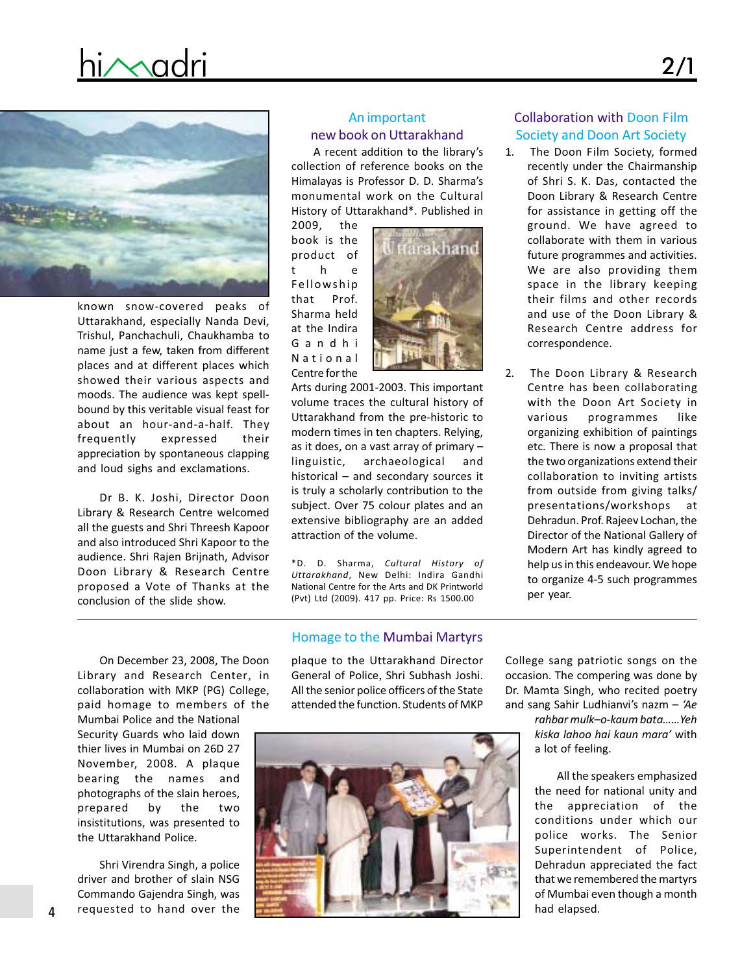# hi $\sim$ adri 2/1



known snow-covered peaks of Uttarakhand, especially Nanda Devi, Trishul, Panchachuli, Chaukhamba to name just a few, taken from different places and at different places which showed their various aspects and moods. The audience was kept spellbound by this veritable visual feast for about an hour-and-a-half. They frequently expressed their appreciation by spontaneous clapping and loud sighs and exclamations.

Dr B. K. Joshi, Director Doon Library & Research Centre welcomed all the guests and Shri Threesh Kapoor and also introduced Shri Kapoor to the audience. Shri Rajen Brijnath, Advisor Doon Library & Research Centre proposed a Vote of Thanks at the conclusion of the slide show.

### An important new book on Uttarakhand

A recent addition to the library's collection of reference books on the Himalayas is Professor D. D. Sharma's monumental work on the Cultural History of Uttarakhand\*. Published in

2009, the book is the product of t he Fellowship that Prof. Sharma held at the Indira Gandhi National Centre for the



Arts during 2001-2003. This important volume traces the cultural history of Uttarakhand from the pre-historic to modern times in ten chapters. Relying, as it does, on a vast array of primary – linguistic, archaeological and historical – and secondary sources it is truly a scholarly contribution to the subject. Over 75 colour plates and an extensive bibliography are an added attraction of the volume.

\*D. D. Sharma, Cultural History of Uttarakhand, New Delhi: Indira Gandhi National Centre for the Arts and DK Printworld (Pvt) Ltd (2009). 417 pp. Price: Rs 1500.00

#### Homage to the Mumbai Martyrs

On December 23, 2008, The Doon Library and Research Center, in collaboration with MKP (PG) College, paid homage to members of the

Mumbai Police and the National Security Guards who laid down thier lives in Mumbai on 26D 27 November, 2008. A plaque bearing the names and photographs of the slain heroes, prepared by the two insistitutions, was presented to the Uttarakhand Police.

Shri Virendra Singh, a police driver and brother of slain NSG Commando Gajendra Singh, was requested to hand over the

plaque to the Uttarakhand Director General of Police, Shri Subhash Joshi. All the senior police officers of the State attended the function. Students of MKP



### Collaboration with Doon Film Society and Doon Art Society

- 1. The Doon Film Society, formed recently under the Chairmanship of Shri S. K. Das, contacted the Doon Library & Research Centre for assistance in getting off the ground. We have agreed to collaborate with them in various future programmes and activities. We are also providing them space in the library keeping their films and other records and use of the Doon Library & Research Centre address for correspondence.
- 2. The Doon Library & Research Centre has been collaborating with the Doon Art Society in various programmes like organizing exhibition of paintings etc. There is now a proposal that the two organizations extend their collaboration to inviting artists from outside from giving talks/ presentations/workshops at Dehradun. Prof. Rajeev Lochan, the Director of the National Gallery of Modern Art has kindly agreed to help us in this endeavour. We hope to organize 4-5 such programmes per year.

College sang patriotic songs on the occasion. The compering was done by Dr. Mamta Singh, who recited poetry and sang Sahir Ludhianvi's nazm  $-$  'Ae

> rahbar mulk–o-kaum bata……Yeh kiska lahoo hai kaun mara' with a lot of feeling.

All the speakers emphasized the need for national unity and the appreciation of the conditions under which our police works. The Senior Superintendent of Police, Dehradun appreciated the fact that we remembered the martyrs of Mumbai even though a month had elapsed.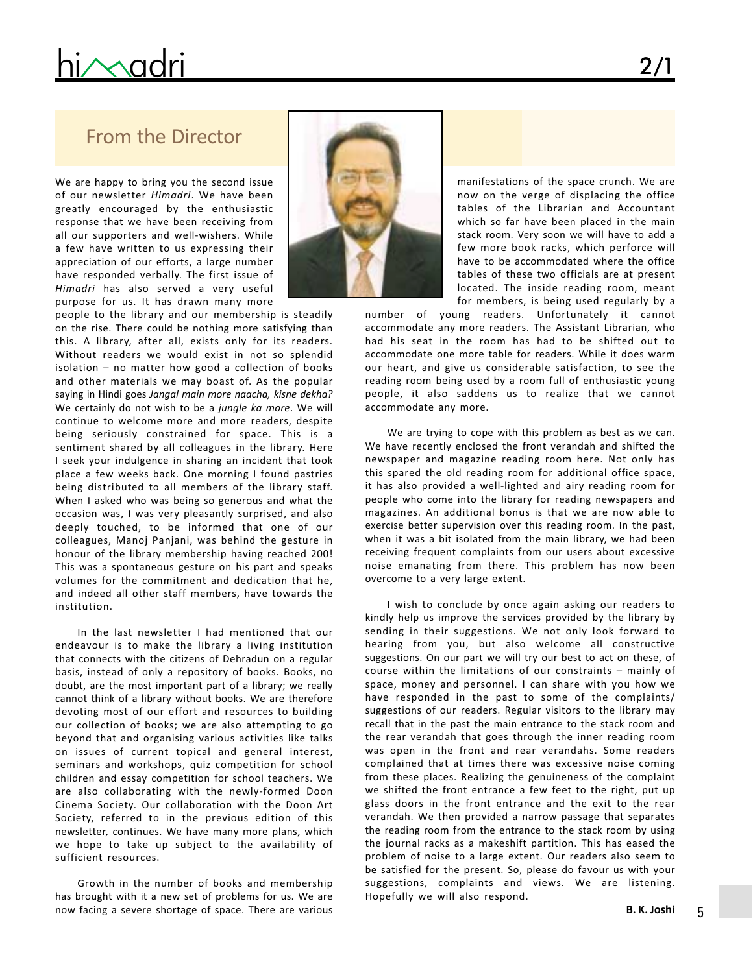# hi $\sim$ adri

## From the Director

We are happy to bring you the second issue of our newsletter Himadri. We have been greatly encouraged by the enthusiastic response that we have been receiving from all our supporters and well-wishers. While a few have written to us expressing their appreciation of our efforts, a large number have responded verbally. The first issue of Himadri has also served a very useful purpose for us. It has drawn many more

people to the library and our membership is steadily on the rise. There could be nothing more satisfying than this. A library, after all, exists only for its readers. Without readers we would exist in not so splendid isolation – no matter how good a collection of books and other materials we may boast of. As the popular saying in Hindi goes Jangal main more naacha, kisne dekha? We certainly do not wish to be a jungle ka more. We will continue to welcome more and more readers, despite being seriously constrained for space. This is a sentiment shared by all colleagues in the library. Here I seek your indulgence in sharing an incident that took place a few weeks back. One morning I found pastries being distributed to all members of the library staff. When I asked who was being so generous and what the occasion was, I was very pleasantly surprised, and also deeply touched, to be informed that one of our colleagues, Manoj Panjani, was behind the gesture in honour of the library membership having reached 200! This was a spontaneous gesture on his part and speaks volumes for the commitment and dedication that he, and indeed all other staff members, have towards the institution.

In the last newsletter I had mentioned that our endeavour is to make the library a living institution that connects with the citizens of Dehradun on a regular basis, instead of only a repository of books. Books, no doubt, are the most important part of a library; we really cannot think of a library without books. We are therefore devoting most of our effort and resources to building our collection of books; we are also attempting to go beyond that and organising various activities like talks on issues of current topical and general interest, seminars and workshops, quiz competition for school children and essay competition for school teachers. We are also collaborating with the newly-formed Doon Cinema Society. Our collaboration with the Doon Art Society, referred to in the previous edition of this newsletter, continues. We have many more plans, which we hope to take up subject to the availability of sufficient resources.

Growth in the number of books and membership has brought with it a new set of problems for us. We are now facing a severe shortage of space. There are various



manifestations of the space crunch. We are now on the verge of displacing the office tables of the Librarian and Accountant which so far have been placed in the main stack room. Very soon we will have to add a few more book racks, which perforce will have to be accommodated where the office tables of these two officials are at present located. The inside reading room, meant for members, is being used regularly by a

number of young readers. Unfortunately it cannot accommodate any more readers. The Assistant Librarian, who had his seat in the room has had to be shifted out to accommodate one more table for readers. While it does warm our heart, and give us considerable satisfaction, to see the reading room being used by a room full of enthusiastic young people, it also saddens us to realize that we cannot accommodate any more.

We are trying to cope with this problem as best as we can. We have recently enclosed the front verandah and shifted the newspaper and magazine reading room here. Not only has this spared the old reading room for additional office space, it has also provided a well-lighted and airy reading room for people who come into the library for reading newspapers and magazines. An additional bonus is that we are now able to exercise better supervision over this reading room. In the past, when it was a bit isolated from the main library, we had been receiving frequent complaints from our users about excessive noise emanating from there. This problem has now been overcome to a very large extent.

I wish to conclude by once again asking our readers to kindly help us improve the services provided by the library by sending in their suggestions. We not only look forward to hearing from you, but also welcome all constructive suggestions. On our part we will try our best to act on these, of course within the limitations of our constraints – mainly of space, money and personnel. I can share with you how we have responded in the past to some of the complaints/ suggestions of our readers. Regular visitors to the library may recall that in the past the main entrance to the stack room and the rear verandah that goes through the inner reading room was open in the front and rear verandahs. Some readers complained that at times there was excessive noise coming from these places. Realizing the genuineness of the complaint we shifted the front entrance a few feet to the right, put up glass doors in the front entrance and the exit to the rear verandah. We then provided a narrow passage that separates the reading room from the entrance to the stack room by using the journal racks as a makeshift partition. This has eased the problem of noise to a large extent. Our readers also seem to be satisfied for the present. So, please do favour us with your suggestions, complaints and views. We are listening. Hopefully we will also respond.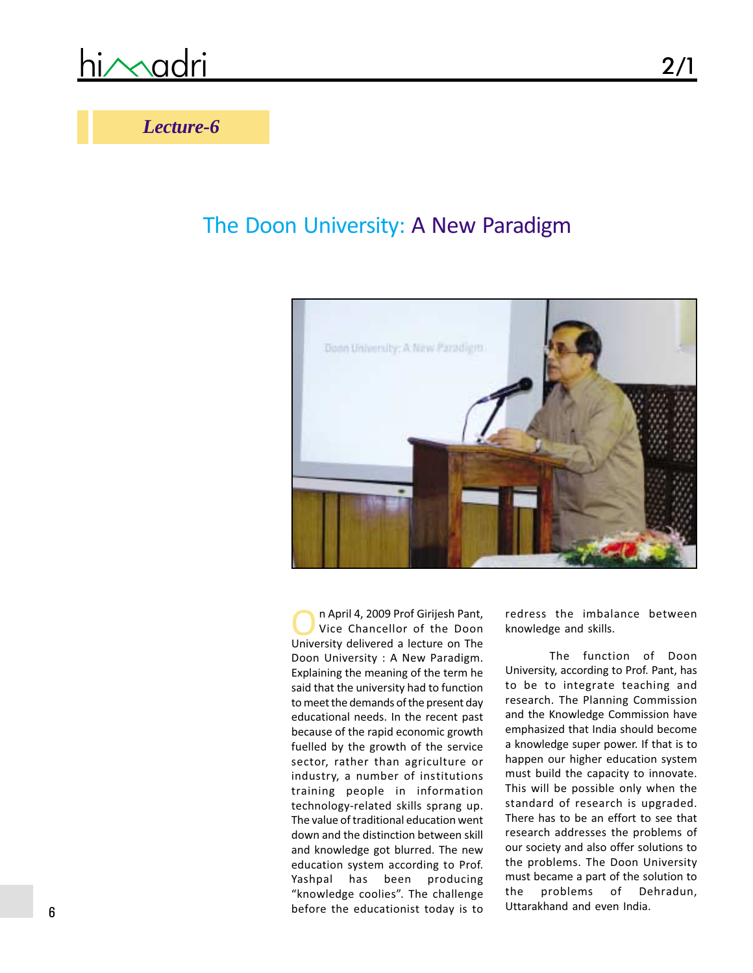## *Lecture-6*

## The Doon University: A New Paradigm



n April 4, 2009 Prof Girijesh Pant, Vice Chancellor of the Doon University delivered a lecture on The Doon University : A New Paradigm. Explaining the meaning of the term he said that the university had to function to meet the demands of the present day educational needs. In the recent past because of the rapid economic growth fuelled by the growth of the service sector, rather than agriculture or industry, a number of institutions training people in information technology-related skills sprang up. The value of traditional education went down and the distinction between skill and knowledge got blurred. The new education system according to Prof. Yashpal has been producing "knowledge coolies". The challenge before the educationist today is to

redress the imbalance between knowledge and skills.

The function of Doon University, according to Prof. Pant, has to be to integrate teaching and research. The Planning Commission and the Knowledge Commission have emphasized that India should become a knowledge super power. If that is to happen our higher education system must build the capacity to innovate. This will be possible only when the standard of research is upgraded. There has to be an effort to see that research addresses the problems of our society and also offer solutions to the problems. The Doon University must became a part of the solution to the problems of Dehradun, Uttarakhand and even India.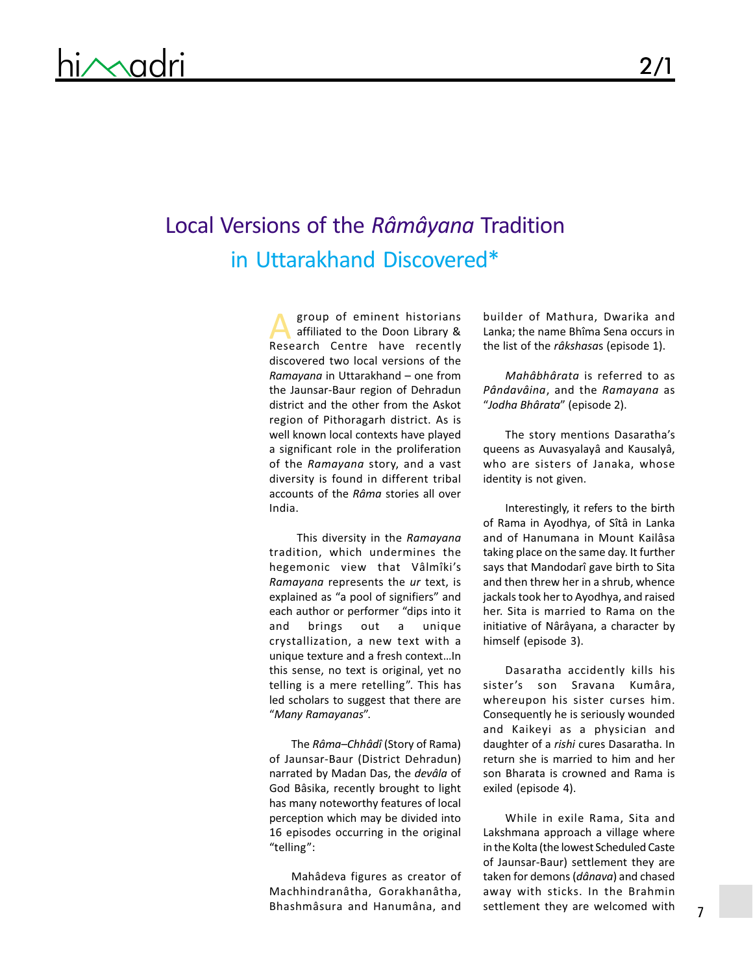## Local Versions of the Râmâyana Tradition in Uttarakhand Discovered\*

group of eminent historians affiliated to the Doon Library & group of eminent historians<br>affiliated to the Doon Library &<br>Research Centre have recently discovered two local versions of the Ramayana in Uttarakhand – one from the Jaunsar-Baur region of Dehradun district and the other from the Askot region of Pithoragarh district. As is well known local contexts have played a significant role in the proliferation of the Ramayana story, and a vast diversity is found in different tribal accounts of the Râma stories all over India.

This diversity in the Ramayana tradition, which undermines the hegemonic view that Vâlmîki's Ramayana represents the ur text, is explained as "a pool of signifiers" and each author or performer "dips into it and brings out a unique crystallization, a new text with a unique texture and a fresh context…In this sense, no text is original, yet no telling is a mere retelling". This has led scholars to suggest that there are "Many Ramayanas".

The Râma–Chhâdî (Story of Rama) of Jaunsar-Baur (District Dehradun) narrated by Madan Das, the devâla of God Bâsika, recently brought to light has many noteworthy features of local perception which may be divided into 16 episodes occurring in the original "telling":

Mahâdeva figures as creator of Machhindranâtha, Gorakhanâtha, Bhashmâsura and Hanumâna, and

builder of Mathura, Dwarika and Lanka; the name Bhîma Sena occurs in the list of the râkshasas (episode 1).

Mahâbhârata is referred to as Pândavâina, and the Ramayana as "Jodha Bhârata" (episode 2).

The story mentions Dasaratha's queens as Auvasyalayâ and Kausalyâ, who are sisters of Janaka, whose identity is not given.

Interestingly, it refers to the birth of Rama in Ayodhya, of Sîtâ in Lanka and of Hanumana in Mount Kailâsa taking place on the same day. It further says that Mandodarî gave birth to Sita and then threw her in a shrub, whence jackals took her to Ayodhya, and raised her. Sita is married to Rama on the initiative of Nârâyana, a character by himself (episode 3).

Dasaratha accidently kills his sister's son Sravana Kumâra, whereupon his sister curses him. Consequently he is seriously wounded and Kaikeyi as a physician and daughter of a rishi cures Dasaratha. In return she is married to him and her son Bharata is crowned and Rama is exiled (episode 4).

While in exile Rama, Sita and Lakshmana approach a village where in the Kolta (the lowest Scheduled Caste of Jaunsar-Baur) settlement they are taken for demons (dânava) and chased away with sticks. In the Brahmin settlement they are welcomed with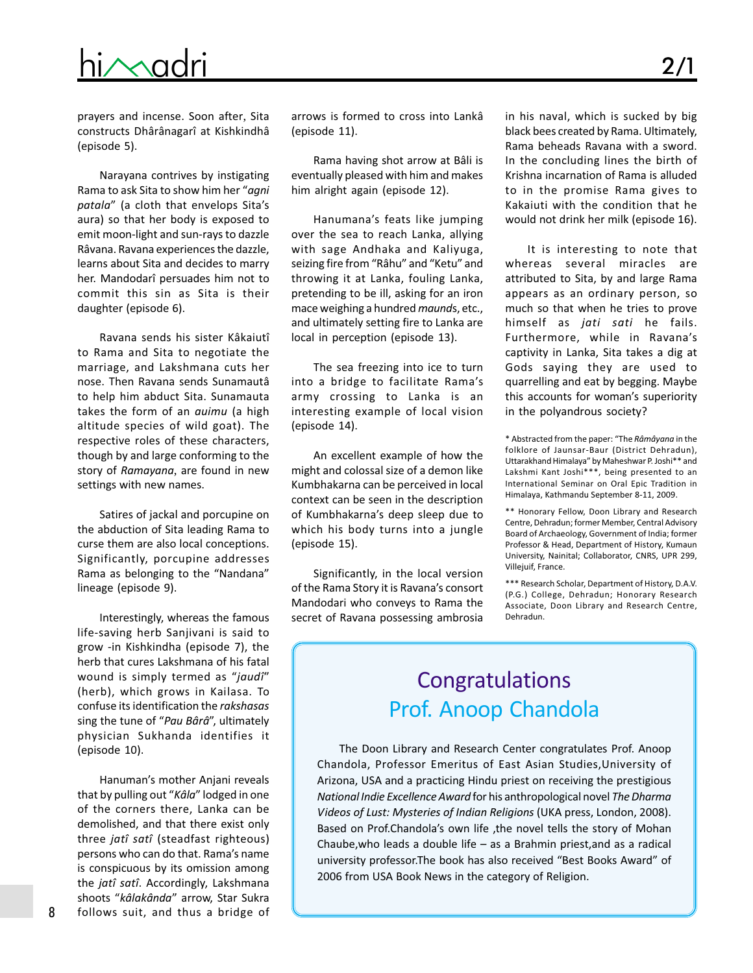# hi $\sim$ adri 2/1

prayers and incense. Soon after, Sita constructs Dhârânagarî at Kishkindhâ (episode 5).

Narayana contrives by instigating Rama to ask Sita to show him her "agni patala" (a cloth that envelops Sita's aura) so that her body is exposed to emit moon-light and sun-rays to dazzle Râvana. Ravana experiences the dazzle, learns about Sita and decides to marry her. Mandodarî persuades him not to commit this sin as Sita is their daughter (episode 6).

Ravana sends his sister Kâkaiutî to Rama and Sita to negotiate the marriage, and Lakshmana cuts her nose. Then Ravana sends Sunamautâ to help him abduct Sita. Sunamauta takes the form of an *auimu* (a high altitude species of wild goat). The respective roles of these characters, though by and large conforming to the story of Ramayana, are found in new settings with new names.

Satires of jackal and porcupine on the abduction of Sita leading Rama to curse them are also local conceptions. Significantly, porcupine addresses Rama as belonging to the "Nandana" lineage (episode 9).

Interestingly, whereas the famous life-saving herb Sanjivani is said to grow -in Kishkindha (episode 7), the herb that cures Lakshmana of his fatal wound is simply termed as "jaudî" (herb), which grows in Kailasa. To confuse its identification the rakshasas sing the tune of "Pau Bârâ", ultimately physician Sukhanda identifies it (episode 10).

Hanuman's mother Anjani reveals that by pulling out "Kâla" lodged in one of the corners there, Lanka can be demolished, and that there exist only three jatî satî (steadfast righteous) persons who can do that. Rama's name is conspicuous by its omission among the *jatî satî*. Accordingly, Lakshmana shoots "kâlakânda" arrow, Star Sukra follows suit, and thus a bridge of

arrows is formed to cross into Lankâ (episode 11).

Rama having shot arrow at Bâli is eventually pleased with him and makes him alright again (episode 12).

Hanumana's feats like jumping over the sea to reach Lanka, allying with sage Andhaka and Kaliyuga, seizing fire from "Râhu" and "Ketu" and throwing it at Lanka, fouling Lanka, pretending to be ill, asking for an iron mace weighing a hundred maunds, etc., and ultimately setting fire to Lanka are local in perception (episode 13).

The sea freezing into ice to turn into a bridge to facilitate Rama's army crossing to Lanka is an interesting example of local vision (episode 14).

An excellent example of how the might and colossal size of a demon like Kumbhakarna can be perceived in local context can be seen in the description of Kumbhakarna's deep sleep due to which his body turns into a jungle (episode 15).

Significantly, in the local version of the Rama Story it is Ravana's consort Mandodari who conveys to Rama the secret of Ravana possessing ambrosia

in his naval, which is sucked by big black bees created by Rama. Ultimately, Rama beheads Ravana with a sword. In the concluding lines the birth of Krishna incarnation of Rama is alluded to in the promise Rama gives to Kakaiuti with the condition that he would not drink her milk (episode 16).

It is interesting to note that whereas several miracles are attributed to Sita, by and large Rama appears as an ordinary person, so much so that when he tries to prove himself as jati sati he fails. Furthermore, while in Ravana's captivity in Lanka, Sita takes a dig at Gods saying they are used to quarrelling and eat by begging. Maybe this accounts for woman's superiority in the polyandrous society?

\* Abstracted from the paper: "The Râmâyana in the folklore of Jaunsar-Baur (District Dehradun), Uttarakhand Himalaya" by Maheshwar P. Joshi\*\* and Lakshmi Kant Joshi\*\*\*, being presented to an International Seminar on Oral Epic Tradition in Himalaya, Kathmandu September 8-11, 2009.

\*\* Honorary Fellow, Doon Library and Research Centre, Dehradun; former Member, Central Advisory Board of Archaeology, Government of India; former Professor & Head, Department of History, Kumaun University, Nainital; Collaborator, CNRS, UPR 299, Villejuif, France.

\*\*\* Research Scholar, Department of History, D.A.V. (P.G.) College, Dehradun; Honorary Research Associate, Doon Library and Research Centre, Dehradun.

## Congratulations Prof. Anoop Chandola

The Doon Library and Research Center congratulates Prof. Anoop Chandola, Professor Emeritus of East Asian Studies,University of Arizona, USA and a practicing Hindu priest on receiving the prestigious National Indie Excellence Award for his anthropological novel The Dharma Videos of Lust: Mysteries of Indian Religions (UKA press, London, 2008). Based on Prof.Chandola's own life ,the novel tells the story of Mohan Chaube,who leads a double life – as a Brahmin priest,and as a radical university professor.The book has also received "Best Books Award" of 2006 from USA Book News in the category of Religion.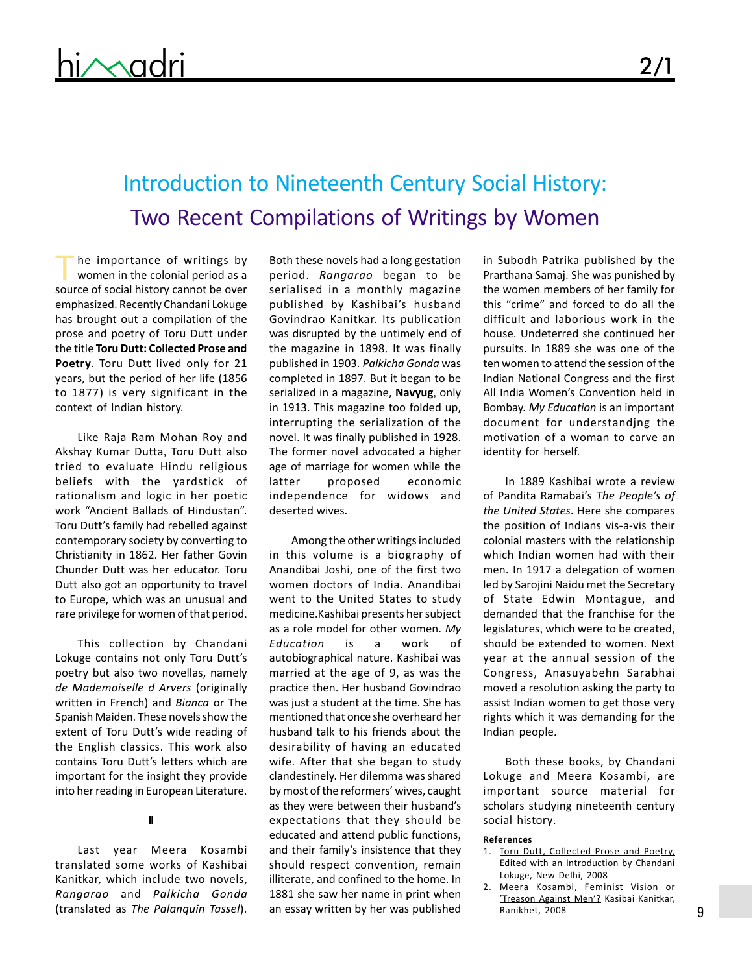# Introduction to Nineteenth Century Social History: Two Recent Compilations of Writings by Women

he importance of writings by women in the colonial period as a The importance of writings by<br>women in the colonial period as a<br>source of social history cannot be over emphasized. Recently Chandani Lokuge has brought out a compilation of the prose and poetry of Toru Dutt under the title Toru Dutt: Collected Prose and Poetry. Toru Dutt lived only for 21 years, but the period of her life (1856 to 1877) is very significant in the context of Indian history.

Like Raja Ram Mohan Roy and Akshay Kumar Dutta, Toru Dutt also tried to evaluate Hindu religious beliefs with the yardstick of rationalism and logic in her poetic work "Ancient Ballads of Hindustan". Toru Dutt's family had rebelled against contemporary society by converting to Christianity in 1862. Her father Govin Chunder Dutt was her educator. Toru Dutt also got an opportunity to travel to Europe, which was an unusual and rare privilege for women of that period.

This collection by Chandani Lokuge contains not only Toru Dutt's poetry but also two novellas, namely de Mademoiselle d Arvers (originally written in French) and Bianca or The Spanish Maiden. These novels show the extent of Toru Dutt's wide reading of the English classics. This work also contains Toru Dutt's letters which are important for the insight they provide into her reading in European Literature.

#### II

Last year Meera Kosambi translated some works of Kashibai Kanitkar, which include two novels, Rangarao and Palkicha Gonda (translated as The Palanquin Tassel).

Both these novels had a long gestation period. Rangarao began to be serialised in a monthly magazine published by Kashibai's husband Govindrao Kanitkar. Its publication was disrupted by the untimely end of the magazine in 1898. It was finally published in 1903. Palkicha Gonda was completed in 1897. But it began to be serialized in a magazine, Navyug, only in 1913. This magazine too folded up, interrupting the serialization of the novel. It was finally published in 1928. The former novel advocated a higher age of marriage for women while the latter proposed economic independence for widows and deserted wives.

Among the other writings included in this volume is a biography of Anandibai Joshi, one of the first two women doctors of India. Anandibai went to the United States to study medicine.Kashibai presents her subject as a role model for other women. My Education is a work of autobiographical nature. Kashibai was married at the age of 9, as was the practice then. Her husband Govindrao was just a student at the time. She has mentioned that once she overheard her husband talk to his friends about the desirability of having an educated wife. After that she began to study clandestinely. Her dilemma was shared by most of the reformers' wives, caught as they were between their husband's expectations that they should be educated and attend public functions, and their family's insistence that they should respect convention, remain illiterate, and confined to the home. In 1881 she saw her name in print when an essay written by her was published

in Subodh Patrika published by the Prarthana Samaj. She was punished by the women members of her family for this "crime" and forced to do all the difficult and laborious work in the house. Undeterred she continued her pursuits. In 1889 she was one of the ten women to attend the session of the Indian National Congress and the first All India Women's Convention held in Bombay. My Education is an important document for understandjng the motivation of a woman to carve an identity for herself.

In 1889 Kashibai wrote a review of Pandita Ramabai's The People's of the United States. Here she compares the position of Indians vis-a-vis their colonial masters with the relationship which Indian women had with their men. In 1917 a delegation of women led by Sarojini Naidu met the Secretary of State Edwin Montague, and demanded that the franchise for the legislatures, which were to be created, should be extended to women. Next year at the annual session of the Congress, Anasuyabehn Sarabhai moved a resolution asking the party to assist Indian women to get those very rights which it was demanding for the Indian people.

Both these books, by Chandani Lokuge and Meera Kosambi, are important source material for scholars studying nineteenth century social history.

#### References

- 1. Toru Dutt, Collected Prose and Poetry, Edited with an Introduction by Chandani Lokuge, New Delhi, 2008
- 2. Meera Kosambi, Feminist Vision or 'Treason Against Men'? Kasibai Kanitkar, Ranikhet, 2008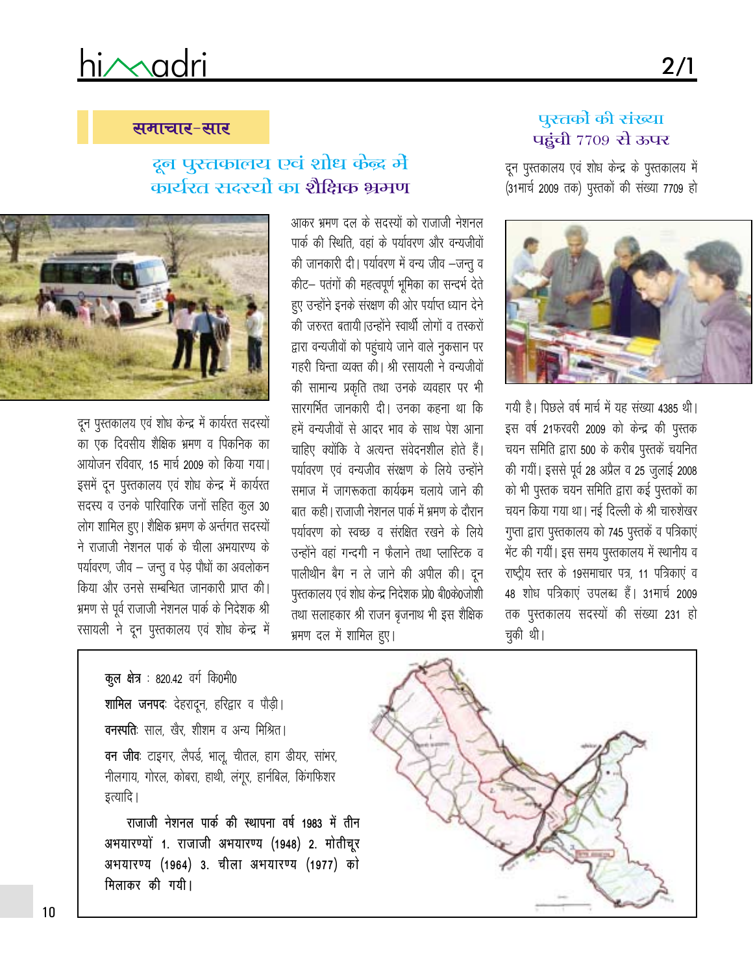# hi/madri

समाचार-सार

### पुस्तकों की संख्या <u>पहुंची 7709 से ऊपर</u>

दून पुस्तकालय एवं शोध केन्द्र के पुस्तकालय में (31मार्च 2009 तक) पुस्तकों की संख्या 7709 हो



गयी है। पिछले वर्ष मार्च में यह संख्या 4385 थी। इस वर्ष 21फरवरी 2009 को केन्द्र की पुस्तक चयन समिति द्वारा 500 के करीब पुस्तकें चयनित की गयीं। इससे पूर्व 28 अप्रैल व 25 जुलाई 2008 को भी पुस्तक चयन समिति द्वारा कई पुस्तकों का चयन किया गया था। नई दिल्ली के श्री चारुशेखर गुप्ता द्वारा पुस्तकालय को 745 पुस्तकें व पत्रिकाएं भेंट की गयीं। इस समय पुस्तकालय में स्थानीय व राष्ट्रीय स्तर के 19समाचार पत्र, 11 पत्रिकाएं व 48 शोध पत्रिकाएं उपलब्ध हैं। 31मार्च 2009 तक पुस्तकालय सदस्यों की संख्या 231 हो चुकी थी।

## दून पुस्तकालय एवं शोध केंद्र मे कार्यरत सदस्यों का शैक्षिक भ्रमण

आकर भ्रमण दल के सदस्यों को राजाजी नेशनल पार्क की स्थिति, वहां के पर्यावरण और वन्यजीवों की जानकारी दी। पर्यावरण में वन्य जीव -जन्तू व कीट– पतंगों की महत्वपूर्ण भूमिका का सन्दर्भ देते हुए उन्होंने इनके संरक्षण की ओर पर्याप्त ध्यान देने की जरुरत बतायी |उन्होंने स्वार्थी लोगों व तस्करों द्वारा वन्यजीवों को पहुंचाये जाने वाले नुकसान पर गहरी चिन्ता व्यक्त की। श्री रसायली ने वन्यजीवों की सामान्य प्रकृति तथा उनके व्यवहार पर भी सारगर्भित जानकारी दी। उनका कहना था कि हमें वन्यजीवों से आदर भाव के साथ पेश आना चाहिए क्योंकि वे अत्यन्त संवेदनशील होते हैं। पर्यावरण एवं वन्यजीव संरक्षण के लिये उन्होंने समाज में जागरूकता कार्यक्रम चलाये जाने की बात) कही | राजाजी नेशनल पार्क में भ्रमण के दौरान पर्यावरण को स्वच्छ व संरक्षित रखने के लिये उन्होंने वहां गन्दगी न फैलाने तथा प्लास्टिक व पालीथीन बैग न ले जाने की अपील की। दून पुस्तकालय एवं शोध केन्द्र निदेशक प्रो0 बी0के0जोशी तथा सलाहकार श्री राजन बृजनाथ भी इस शैक्षिक भ्रमण दल में शामिल हुए।



दून पुस्तकालय एवं शोध केन्द्र में कार्यरत सदस्यों का एक दिवसीय शैक्षिक भ्रमण व पिकनिक का आयोजन रविवार, 15 मार्च 2009 को किया गया। इसमें दून पुस्तकालय एवं शोध केन्द्र में कार्यरत सदस्य व उनके पारिवारिक जनों सहित कुल 30 लोग शामिल हुए। शैक्षिक भ्रमण के अर्न्तगत सदस्यों ने राजाजी नेशनल पार्क के चीला अभयारण्य के पर्यावरण, जीव - जन्तु व पेड़ पौधों का अवलोकन किया और उनसे सम्बन्धित जानकारी प्राप्त की। भ्रमण से पूर्व राजाजी नेशनल पार्क के निदेशक श्री रसायली ने दून पुस्तकालय एवं शोध केन्द्र में

> कूल क्षेत्र : 820.42 वर्ग कि0मी0 शामिल जनपदः देहरादून, हरिद्वार व पौड़ी। **वनस्पति**: साल, खैर, शीशम व अन्य मिश्रित। वन जीवः टाइगर, लैपर्ड, भालू, चीतल, हाग डीयर, सांभर, नीलगाय, गोरल, कोबरा, हाथी, लंगूर, हार्नबिल, किंगफिशर इत्यादि ।

राजाजी नेशनल पार्क की स्थापना वर्ष 1983 में तीन अभयारण्यों 1. राजाजी अभयारण्य (1948) 2. मोतीचूर अभयारण्य (1964) 3. चीला अभयारण्य (1977) को मिलाकर की गयी।



 $2/1$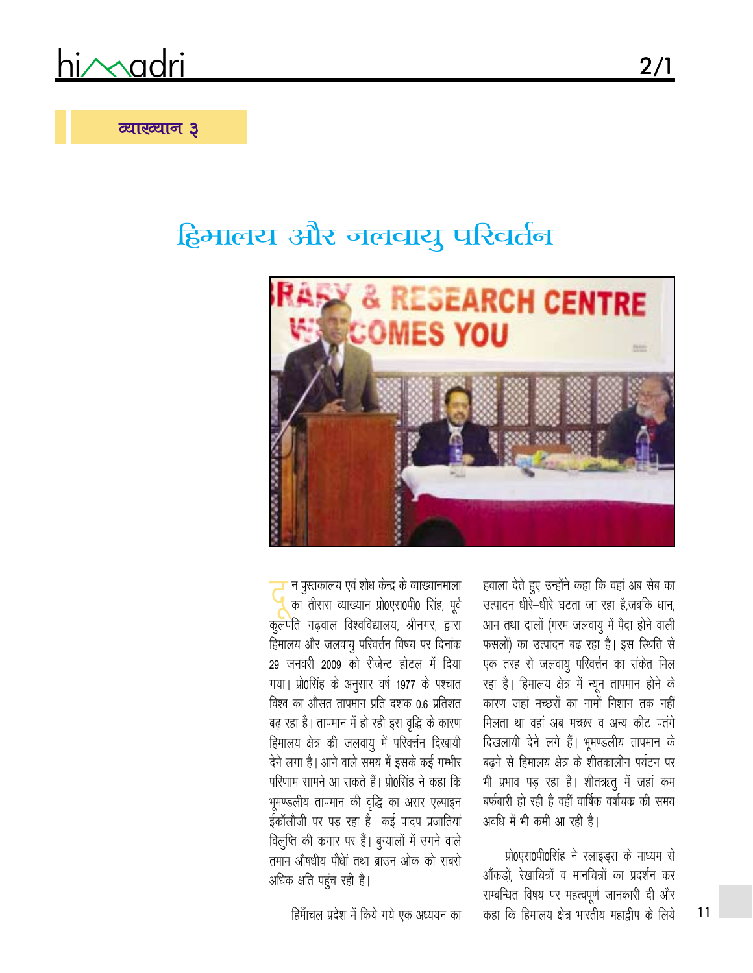himadri

### व्याख्यान 3

# हिमालय और जलवायु परिवर्तन



न पुस्तकालय एवं शोध केन्द्र के व्याख्यानमाला का तीसरा व्याख्यान प्रो0एस0पी0 सिंह, पूर्व कुलपति गढ़वाल विश्वविद्यालय, श्रीनगर, द्वारा हिमालय और जलवायु परिवर्त्तन विषय पर दिनांक 29 जनवरी 2009 को रीजेन्ट होटल में दिया गया। प्रो0सिंह के अनुसार वर्ष 1977 के पश्चात विश्व का औसत तापमान प्रति दशक 0.6 प्रतिशत बढ़ रहा है। तापमान में हो रही इस वृद्धि के कारण हिमालय क्षेत्र की जलवायु में परिवर्त्तन दिखायी देने लगा है। आने वाले समय में इसके कई गम्भीर परिणाम सामने आ सकते हैं। प्रो0सिंह ने कहा कि भूमण्डलीय तापमान की वृद्धि का असर एल्पाइन ईकॉलौजी पर पड़ रहा है। कई पादप प्रजातियां विलुप्ति की कगार पर हैं। बुग्यालों में उगने वाले तमाम औषधीय पौधां तथा ब्राउन ओक को सबसे अधिक क्षति पहुंच रही है।

हवाला देते हुए उन्होंने कहा कि वहां अब सेब का उत्पादन धीरे-धीरे घटता जा रहा है,जबकि धान, आम तथा दालों (गरम जलवायु में पैदा होने वाली फसलों) का उत्पादन बढ़ रहा है। इस स्थिति से एक तरह से जलवायु परिवर्त्तन का संकेत मिल रहा है। हिमालय क्षेत्र में न्यून तापमान होने के कारण जहां मच्छरों का नामों निशान तक नहीं मिलता था वहां अब मच्छर व अन्य कीट पतंगे दिखलायी देने लगे हैं। भूमण्डलीय तापमान के बढ़ने से हिमालय क्षेत्र के शीतकालीन पर्यटन पर भी प्रभाव पड़ रहा है। शीतऋतु में जहां कम बर्फबारी हो रही है वहीं वार्षिक वर्षाचक्र की समय अवधि में भी कमी आ रही है।

प्रो0एस0पी0सिंह ने स्लाइड्स के माध्यम से आँकड़ों, रेखाचित्रों व मानचित्रों का प्रदर्शन कर सम्बन्धित विषय पर महत्वपूर्ण जानकारी दी और कहा कि हिमालय क्षेत्र भारतीय महाद्वीप के लिये

हिमाँचल प्रदेश में किये गये एक अध्ययन का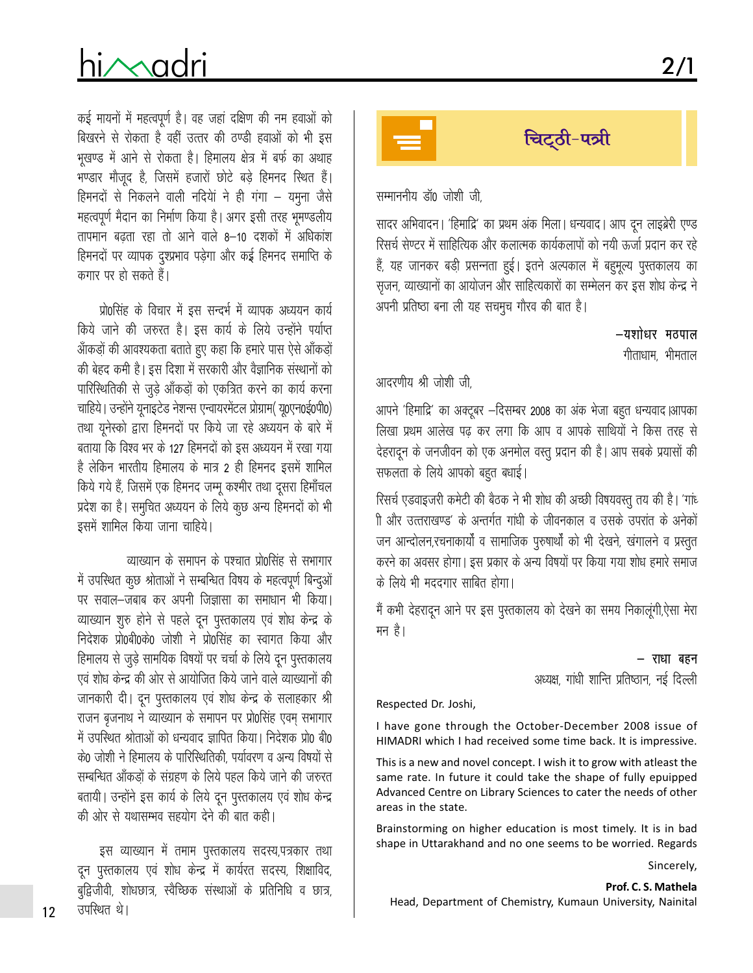# hi/Madri

कई मायनों में महत्वपूर्ण है। वह जहां दक्षिण की नम हवाओं को बिखरने से रोकता है वहीं उत्तर की ठण्डी हवाओं को भी इस भूखण्ड में आने से रोकता है। हिमालय क्षेत्र में बर्फ का अथाह भण्डार मौजूद है, जिसमें हजारों छोटे बड़े हिमनद स्थित हैं। हिमनदों से निकलने वाली नदियों ने ही गंगा – यमुना जैसे महत्वपूर्ण मैदान का निर्माण किया है। अगर इसी तरह भूमण्डलीय तापमान बढता रहा तो आने वाले 8–10 दशकों में अधिकांश हिमनदों पर व्यापक दुश्प्रभाव पड़ेगा और कई हिमनद समाप्ति के कगार पर हो सकते हैं।

प्रो0सिंह के विचार में इस सन्दर्भ में व्यापक अध्ययन कार्य किये जाने की जरुरत है। इस कार्य के लिये उन्होंने पर्याप्त आँकड़ों की आवश्यकता बताते हुए कहा कि हमारे पास ऐसे आँकड़ों की बेहद कमी है। इस दिशा में सरकारी और वैज्ञानिक संस्थानों को पारिस्थितिकी से जुड़े आँकड़ों को एकत्रित करने का कार्य करना चाहिये। उन्होंने यूनाइटेड नेशन्स एन्वायरमेंटल प्रोग्राम( यू०एन०ई०पी०) तथा यूनेस्को द्वारा हिमनदों पर किये जा रहे अध्ययन के बारे में बताया कि विश्व भर के 127 हिमनदों को इस अध्ययन में रखा गया है लेकिन भारतीय हिमालय के मात्र 2 ही हिमनद इसमें शामिल किये गये हैं, जिसमें एक हिमनद जम्मू कश्मीर तथा दुसरा हिमाँचल प्रदेश का है। समुचित अध्ययन के लिये कूछ अन्य हिमनदों को भी इसमें शामिल किया जाना चाहिये।

व्याख्यान के समापन के पश्चात प्रो0सिंह से सभागार में उपस्थित कुछ श्रोताओं ने सम्बन्धित विषय के महत्वपूर्ण बिन्दुओं पर सवाल–जबाब कर अपनी जिज्ञासा का समाधान भी किया। व्याख्यान शुरु होने से पहले दून पुस्तकालय एवं शोध केन्द्र के निदेशक प्रो0बी0के0 जोशी ने प्रो0सिंह का स्वागत किया और हिमालय से जुड़े सामयिक विषयों पर चर्चा के लिये दुन पुस्तकालय एवं शोध केन्द्र की ओर से आयोजित किये जाने वाले व्याख्यानों की जानकारी दी। दून पुस्तकालय एवं शोध केन्द्र के सलाहकार श्री राजन बृजनाथ ने व्याख्यान के समापन पर प्रो0सिंह एवम् सभागार में उपस्थित श्रोताओं को धन्यवाद ज्ञापित किया। निदेशक प्रो0 बी0 के0 जोशी ने हिमालय के पारिस्थितिकी, पर्यावरण व अन्य विषयों से सम्बन्धित आँकड़ों के संग्रहण के लिये पहल किये जाने की जरुरत बतायी। उन्होंने इस कार्य के लिये दून पुस्तकालय एवं शोध केन्द्र की ओर से यथासम्भव सहयोग देने की बात कही।

इस व्याख्यान में तमाम पुस्तकालय सदस्य,पत्रकार तथा दून पुस्तकालय एवं शोध केन्द्र में कार्यरत सदस्य, शिक्षाविद, बुद्विजीवी, शोधछात्र, स्वैच्छिक संस्थाओं के प्रतिनिधि व छात्र, उपस्थित थे।



सम्माननीय डॉ0 जोशी जी.

सादर अभिवादन। 'हिमाद्रि' का प्रथम अंक मिला। धन्यवाद। आप दून लाइब्रेरी एण्ड रिसर्च सेण्टर में साहित्यिक और कलात्मक कार्यकलापों को नयी ऊर्जा प्रदान कर रहे हैं, यह जानकर बड़ी प्रसन्नता हुई। इतने अल्पकाल में बहुमूल्य पुस्तकालय का सुजन, व्याख्यानों का आयोजन और साहित्यकारों का सम्मेलन कर इस शोध केन्द्र ने अपनी प्रतिष्ठा बना ली यह सचमुच गौरव की बात है।

> –यशोधर मठपाल गीताधाम, भीमताल

आदरणीय श्री जोशी जी

आपने 'हिमाद्रि' का अक्टूबर –दिसम्बर 2008 का अंक भेजा बहुत धन्यवाद।आपका लिखा प्रथम आलेख पढ कर लगा कि आप व आपके साथियों ने किस तरह से देहरादून के जनजीवन को एक अनमोल वस्तू प्रदान की है। आप सबके प्रयासों की सफलता के लिये आपको बहुत बधाई।

रिसर्च एडवाइजरी कमेटी की बैठक ने भी शोध की अच्छी विषयवस्तू तय की है। 'गांध ी और उत्तराखण्ड' के अन्तर्गत गांधी के जीवनकाल व उसके उपरांत के अनेकों जन आन्दोलन,रचनाकार्यों व सामाजिक पुरुषार्थों को भी देखने, खंगालने व प्रस्तुत करने का अवसर होगा। इस प्रकार के अन्य विषयों पर किया गया शोध हमारे समाज के लिये भी मददगार साबित होगा।

मैं कभी देहरादून आने पर इस पुस्तकालय को देखने का समय निकालूंगी,ऐसा मेरा मन है।

> – राधा बहन अध्यक्ष, गांधी शान्ति प्रतिष्ठान, नई दिल्ली

Respected Dr. Joshi,

I have gone through the October-December 2008 issue of HIMADRI which I had received some time back. It is impressive.

This is a new and novel concept. I wish it to grow with atleast the same rate. In future it could take the shape of fully epuipped Advanced Centre on Library Sciences to cater the needs of other areas in the state.

Brainstorming on higher education is most timely. It is in bad shape in Uttarakhand and no one seems to be worried. Regards

Sincerely,

 $12$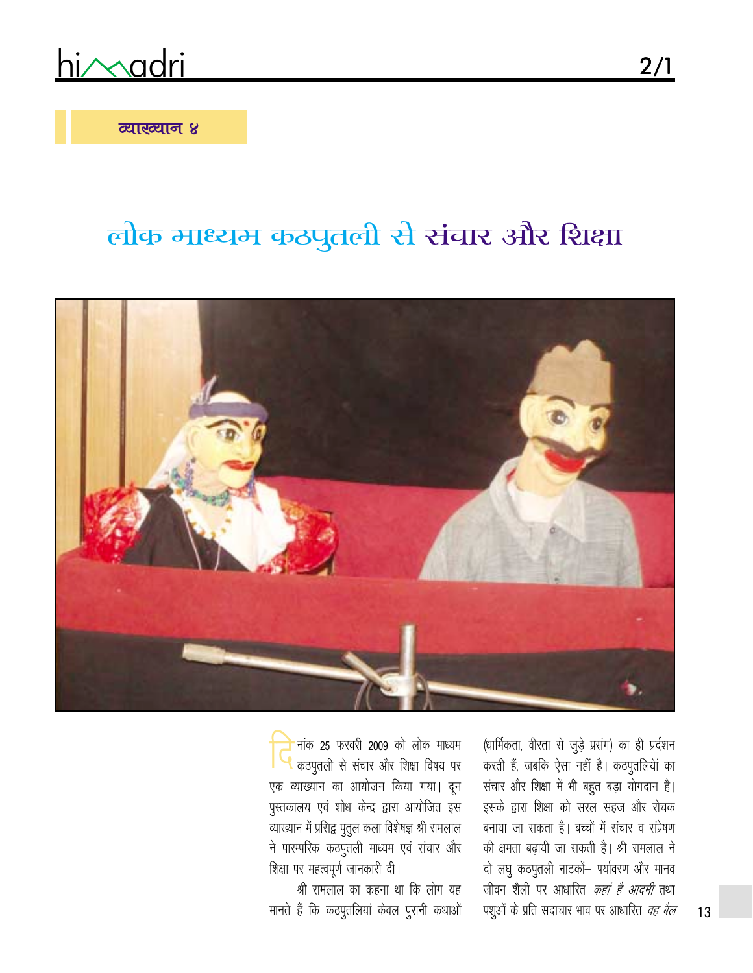<u>himadri</u>

व्याख्यान ४

# लोक माध्यम कठपुतली से संचार और शिक्षा



नांक 25 फरवरी 2009 को लोक माध्यम कठपुतली से संचार और शिक्षा विषय पर एक व्याख्यान का आयोजन किया गया। दून पुस्तकालय एवं शोध केन्द्र द्वारा आयोजित इस व्याख्यान में प्रसिद्व पुतुल कला विशेषज्ञ श्री रामलाल ने पारम्परिक कठपुतली माध्यम एवं संचार और शिक्षा पर महत्वपूर्ण जानकारी दी।

श्री रामलाल का कहना था कि लोग यह मानते हैं कि कठपुतलियां केवल पुरानी कथाओं

(धार्मिकता, वीरता से जुड़े प्रसंग) का ही प्रर्दशन करती हैं, जबकि ऐसा नहीं है। कठपुतलियां का संचार और शिक्षा में भी बहुत बड़ा योगदान है। इसके द्वारा शिक्षा को सरल सहज और रोचक बनाया जा सकता है। बच्चों में संचार व संप्रेषण की क्षमता बढ़ायी जा सकती है। श्री रामलाल ने दो लघु कठपुतली नाटकों पर्यावरण और मानव जीवन शैली पर आधारित *कहां है आदमी* तथा पशुओं के प्रति सदाचार भाव पर आधारित *वह बैल*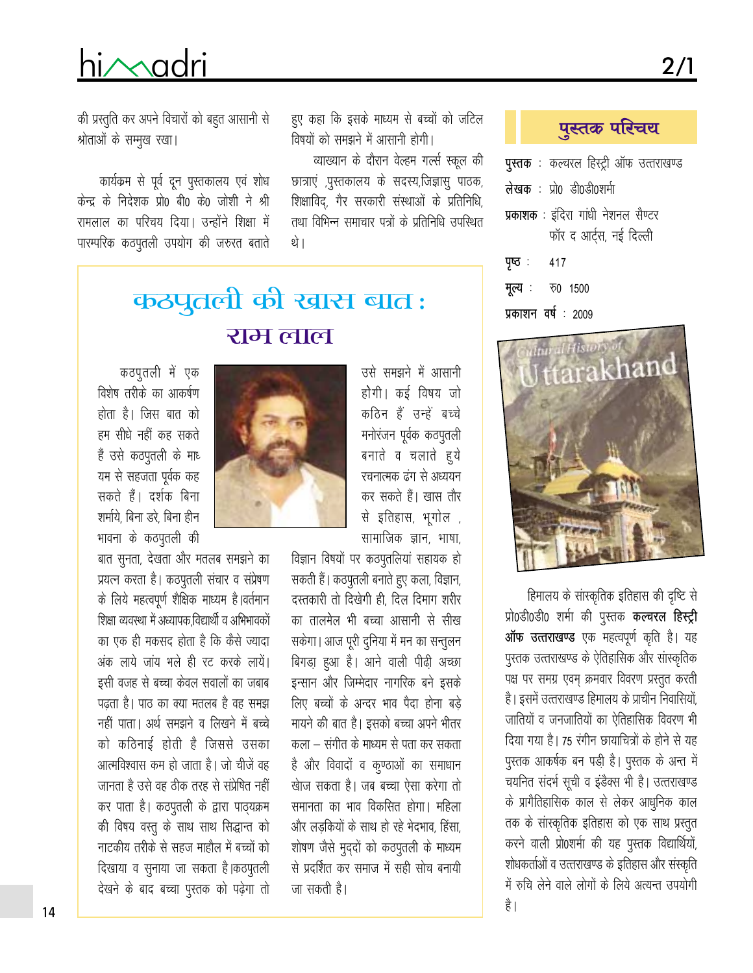# hi/Madri

की प्रस्तुति कर अपने विचारों को बहुत आसानी से श्रोताओं के सम्मूख रखा।

कार्यक्रम से पूर्व दून पुस्तकालय एवं शोध केन्द्र के निदेशक प्रो0 बी0 के0 जोशी ने श्री रामलाल का परिचय दिया। उन्होंने शिक्षा में पारम्परिक कठपूतली उपयोग की जरुरत बताते

> कठपुतली की खास बात: राम लाल

विषयों को समझने में आसानी होगी। व्याख्यान के दौरान वेल्हम गर्ल्स स्कूल की

हुए कहा कि इसके माध्यम से बच्चों को जटिल

छात्राएं ,पुस्तकालय के सदस्य,जिज्ञासु पाठक, शिक्षाविद्, गैर सरकारी संस्थाओं के प्रतिनिधि, तथा विभिन्न समाचार पत्रों के प्रतिनिधि उपस्थित थे।

> उसे समझने में आसानी होगी। कई विषय जो कठिन हैं उन्हें बच्चे मनोरंजन पूर्वक कठपुतली बनाते व चलाते हुये रचनात्मक ढंग से अध्ययन कर सकते हैं। खास तौर से इतिहास, भूगोल, सामाजिक ज्ञान, भाषा,

विज्ञान विषयों पर कठपुतलियां सहायक हो सकती हैं। कठपूतली बनाते हुए कला, विज्ञान, दस्तकारी तो दिखेगी ही, दिल दिमाग शरीर का तालमेल भी बच्चा आसानी से सीख सकेगा। आज पूरी दुनिया में मन का सन्तुलन बिगड़ा हुआ है। आने वाली पीढ़ी अच्छा इन्सान और जिम्मेदार नागरिक बने इसके लिए बच्चों के अन्दर भाव पैदा होना बड़े मायने की बात है। इसको बच्चा अपने भीतर कला – संगीत के माध्यम से पता कर सकता है और विवादों व कुण्ठाओं का समाधान खेाज सकता है। जब बच्चा ऐसा करेगा तो समानता का भाव विकसित होगा। महिला और लड़कियों के साथ हो रहे भेदभाव, हिंसा, शोषण जैसे मुद्दों को कठपुतली के माध्यम से प्रदर्शित कर समाज में सही सोच बनायी जा सकती है।

### कठपुतली में एक विशेष तरीके का आकर्षण होता है। जिस बात को हम सीधे नहीं कह सकते हैं उसे कठपुतली के माध् यम से सहजता पूर्वक कह सकते हैं। दर्शक बिना शर्माये, बिना डरे, बिना हीन भावना के कठपुतली की

बात सुनता, देखता और मतलब समझने का प्रयत्न करता है। कठपुतली संचार व संप्रेषण के लिये महत्वपूर्ण शैक्षिक माध्यम है। वर्तमान शिक्षा व्यवस्था में अध्यापक विद्यार्थी व अभिभावकों का एक ही मकसद होता है कि कैसे ज्यादा अंक लाये जांय भले ही रट करके लायें। इसी वजह से बच्चा केवल सवालों का जबाब पढता है। पाठ का क्या मतलब है वह समझ नहीं पाता। अर्थ समझने व लिखने में बच्चे को कठिनाई होती है जिससे उसका आत्मविश्वास कम हो जाता है। जो चीजें वह जानता है उसे वह ठीक तरह से संप्रेषित नहीं कर पाता है। कठपूतली के द्वारा पाठ्यक्रम की विषय वस्तू के साथ साथ सिद्धान्त को नाटकीय तरीके से सहज माहौल में बच्चों को दिखाया व सुनाया जा सकता है।कठपुतली देखने के बाद बच्चा पुस्तक को पढ़ेगा तो पुस्तक परिचय

- पुस्तक : कल्चरल हिस्ट्री ऑफ उत्तराखण्ड
- लेखक: प्रो0 डी0डी0शर्मा
- प्रकाशक : इंदिरा गांधी नेशनल सैण्टर फॉर द आर्ट्स, नई दिल्ली
- पृष्ठ: 417
- मूल्य : **ড0 1500**
- प्रकाशन वर्ष: 2009



हिमालय के सांस्कृतिक इतिहास की दृष्टि से प्रो0डी0डी0 शर्मा की पुस्तक कल्चरल हिस्ट्री ऑफ उत्तराखण्ड एक महत्वपूर्ण कृति है। यह पुस्तक उत्तराखण्ड के ऐतिहासिक और सांस्कृतिक पक्ष पर समग्र एवम् क्रमवार विवरण प्रस्तुत करती है। इसमें उत्तराखण्ड हिमालय के प्राचीन निवासियों, जातियों व जनजातियों का ऐतिहासिक विवरण भी दिया गया है। 75 रंगीन छायाचित्रों के होने से यह पुस्तक आकर्षक बन पड़ी है। पुस्तक के अन्त में चयनित संदर्भ सूची व इंडैक्स भी है। उत्तराखण्ड के प्रागैतिहासिक काल से लेकर आधुनिक काल तक के सांस्कृतिक इतिहास को एक साथ प्रस्तुत करने वाली प्रो0शर्मा की यह पुस्तक विद्यार्थियों, शोधकर्ताओं व उत्तराखण्ड के इतिहास और संस्कृति में रुचि लेने वाले लोगों के लिये अत्यन्त उपयोगी है |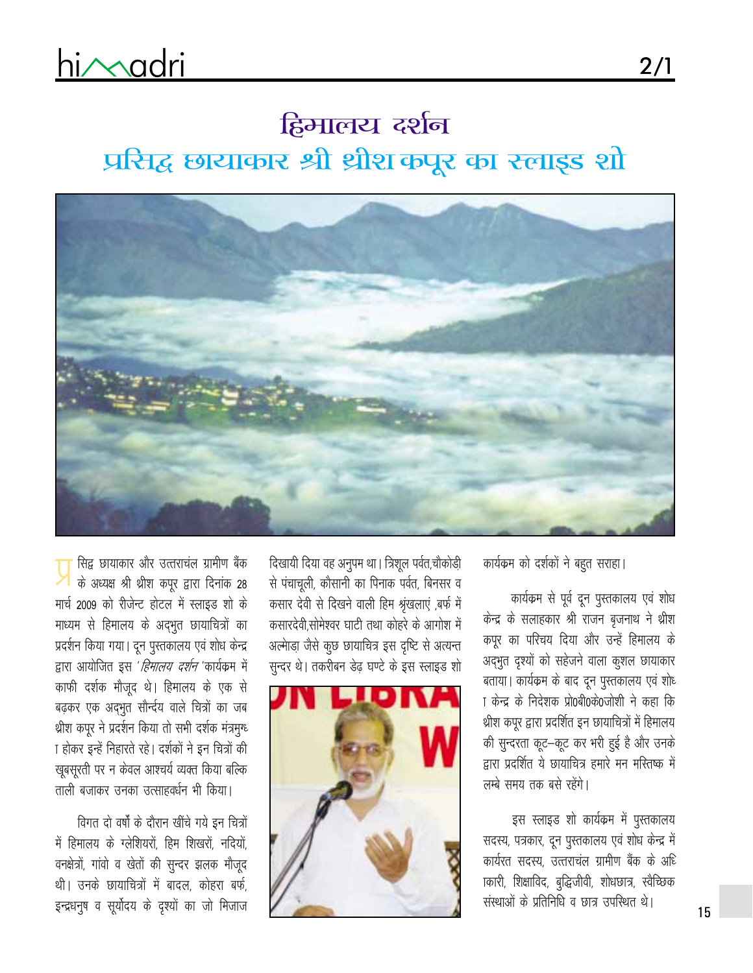# हिमालय दर्शन प्रसिद्ध छायाकार श्री थ्रीशकपूर का स्लाइड शो



सिद्व छायाकार और उत्तराचंल ग्रामीण बैंक के अध्यक्ष श्री थ्रीश कपूर द्वारा दिनांक 28 मार्च 2009 को रीजेन्ट होटल में स्लाइड शो के माध्यम से हिमालय के अद्भुत छायाचित्रों का प्रदर्शन किया गया। दून पुस्तकालय एवं शोध केन्द्र द्वारा आयोजित इस '*हिमालय दर्शन* 'कार्यक्रम में काफी दर्शक मौजूद थे। हिमालय के एक से बढ़कर एक अद्भुत सौर्न्दय वाले चित्रों का जब थ्रीश कपूर ने प्रदर्शन किया तो सभी दर्शक मंत्रमुग्ध ा होकर इन्हें निहारते रहे। दर्शकों ने इन चित्रों की खूबसूरती पर न केवल आश्चर्य व्यक्त किया बल्कि ताली बजाकर उनका उत्साहवर्धन भी किया।

विगत दो वर्षों के दौरान खींचे गये इन चित्रों में हिमालय के ग्लेशियरों, हिम शिखरों, नदियों, वनक्षेत्रों, गांवो व खेतों की सुन्दर झलक मौजूद थी। उनके छायाचित्रों में बादल, कोहरा बर्फ, इन्द्रधनूष व सूर्योदय के दृश्यों का जो मिजाज दिखायी दिया वह अनुपम था। त्रिशूल पर्वत,चौकोड़ी से पंचाचूली, कौसानी का पिनाक पर्वत, बिनसर व कसार देवी से दिखने वाली हिम श्रृंखलाएं ,बर्फ में कसारदेवी सोमेश्वर घाटी तथा कोहरे के आगोश में अल्माड़ा जैसे कूछ छायाचित्र इस दृष्टि से अत्यन्त सुन्दर थे। तकरीबन डेढ़ घण्टे के इस स्लाइड शो



कार्यक्रम को दर्शकों ने बहुत सराहा।

कार्यक्रम से पूर्व दून पुस्तकालय एवं शोध केन्द्र के सलाहकार श्री राजन बृजनाथ ने थ्रीश कपूर का परिचय दिया और उन्हें हिमालय के अद्भुत दृश्यों को सहेजने वाला कुशल छायाकार बताया। कार्यक्रम के बाद दून पुस्तकालय एवं शोध ा केन्द्र के निदेशक प्रो0बी0के0जोशी ने कहा कि श्रीश कपूर द्वारा प्रदर्शित इन छायाचित्रों में हिमालय की सुन्दरता कूट-कूट कर भरी हुई है और उनके द्वारा प्रदर्शित ये छायाचित्र हमारे मन मस्तिष्क में लम्बे समय तक बसे रहेंगे।

इस स्लाइड शो कार्यक्रम में पुस्तकालय सदस्य, पत्रकार, दून पुस्तकालय एवं शोध केन्द्र में कार्यरत सदस्य, उत्तराचल ग्रामीण बैंक के अधि ाकारी, शिक्षाविद, बुद्धिजीवी, शोधछात्र, स्वैच्छिक संस्थाओं के प्रतिनिधि व छात्र उपस्थित थे।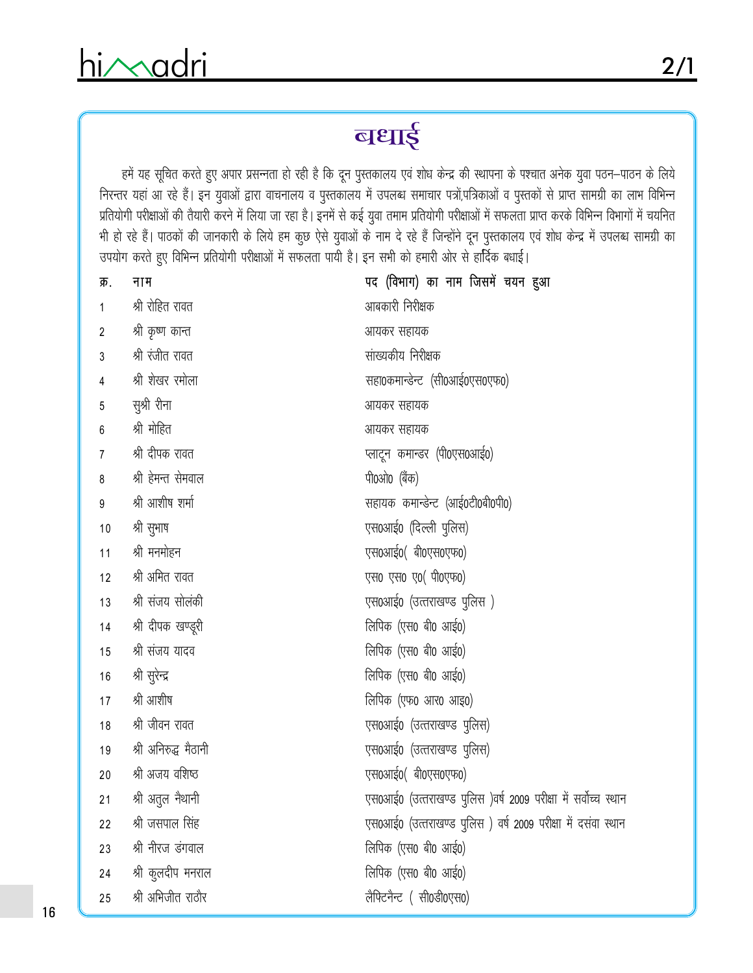$2/1$ 

हमें यह सूचित करते हुए अपार प्रसन्नता हो रही है कि दून पुस्तकालय एवं शोध केन्द्र की स्थापना के पश्चात अनेक युवा पठन–पाठन के लिये निरन्तर यहां आ रहे हैं। इन युवाओं द्वारा वाचनालय व पुस्तकालय में उपलब्ध समाचार पत्रों,पत्रिकाओं व पुस्तकों से प्राप्त सामग्री का लाभ विभिन्न प्रतियोगी परीक्षाओं की तैयारी करने में लिया जा रहा है। इनमें से कई युवा तमाम प्रतियोगी परीक्षाओं में सफलता प्राप्त करके विभिन्न विभागों में चयनित भी हो रहे हैं। पाठकों की जानकारी के लिये हम कुछ ऐसे युवाओं के नाम दे रहे हैं जिन्होंने दून पुस्तकालय एवं शोध केन्द्र में उपलब्ध सामग्री का उपयोग करते हुए विभिन्न प्रतियोगी परीक्षाओं में सफलता पायी है। इन सभी को हमारी ओर से हार्दिक बधाई।

| क्र.           | नाम                  | पद (विभाग) का नाम जिसमें चयन हुआ                               |
|----------------|----------------------|----------------------------------------------------------------|
| 1              | श्री रोहित रावत      | आबकारी निरीक्षक                                                |
| $\overline{2}$ | श्री कृष्ण कान्त     | आयकर सहायक                                                     |
| 3              | श्री रंजीत रावत      | सांख्यकीय निरीक्षक                                             |
| 4              | श्री शेखर रमोला      | सहा0कमान्डेन्ट (सी0आई0एस0एफ0)                                  |
| 5              | सुश्री रीना          | आयकर सहायक                                                     |
| 6              | श्री मोहित           | आयकर सहायक                                                     |
| 7              | श्री दीपक रावत       | प्लाटून कमान्डर (पी0एस0आई0)                                    |
| 8              | श्री हेमन्त सेमवाल   | पी0ओ0 (बैंक)                                                   |
| 9              | श्री आशीष शर्मा      | सहायक कमान्डेन्ट (आई0टी0बी0पी0)                                |
| $10$           | श्री सुभाष           | एस0आई0 (दिल्ली पुलिस)                                          |
| 11             | श्री मनमोहन          | एस0आई0(बी0एस0एफ0)                                              |
| 12             | श्री अमित रावत       | एस0 एस0 ए0(पी0एफ0)                                             |
| 13             | श्री संजय सोलंकी     | एस0आई0 (उत्तराखण्ड पुलिस )                                     |
| 14             | श्री दीपक खण्डूरी    | लिपिक (एस0 बी0 आई0)                                            |
| 15             | श्री संजय यादव       | लिपिक (एस0 बी0 आई0)                                            |
| 16             | श्री सुरेन्द्र       | लिपिक (एस0 बी0 आई0)                                            |
| 17             | श्री आशीष            | लिपिक (एफ0 आर0 आइ0)                                            |
| 18             | श्री जीवन रावत       | एस0आई0 (उत्तराखण्ड पुलिस)                                      |
| 19             | श्री अनिरुद्ध मैठानी | एस0आई0 (उत्तराखण्ड पुलिस)                                      |
| 20             | श्री अजय वशिष्ठ      | एस0आई0(बी0एस0एफ0)                                              |
| 21             | श्री अतुल नैथानी     | एस0आई0 (उत्तराखण्ड पुलिस )वर्ष 2009 परीक्षा में सर्वोच्च स्थान |
| 22             | श्री जसपाल सिंह      | एस0आई0 (उत्तराखण्ड पुलिस) वर्ष 2009 परीक्षा में दसवा स्थान     |
| 23             | श्री नीरज डंगवाल     | लिपिक (एस0 बी0 आई0)                                            |
| 24             | श्री कुलदीप मनराल    | लिपिक (एस0 बी0 आई0)                                            |
| 25             | श्री अभिजीत राठौर    | लैफ्टिनैन्ट (सी0डी0एस0)                                        |
|                |                      |                                                                |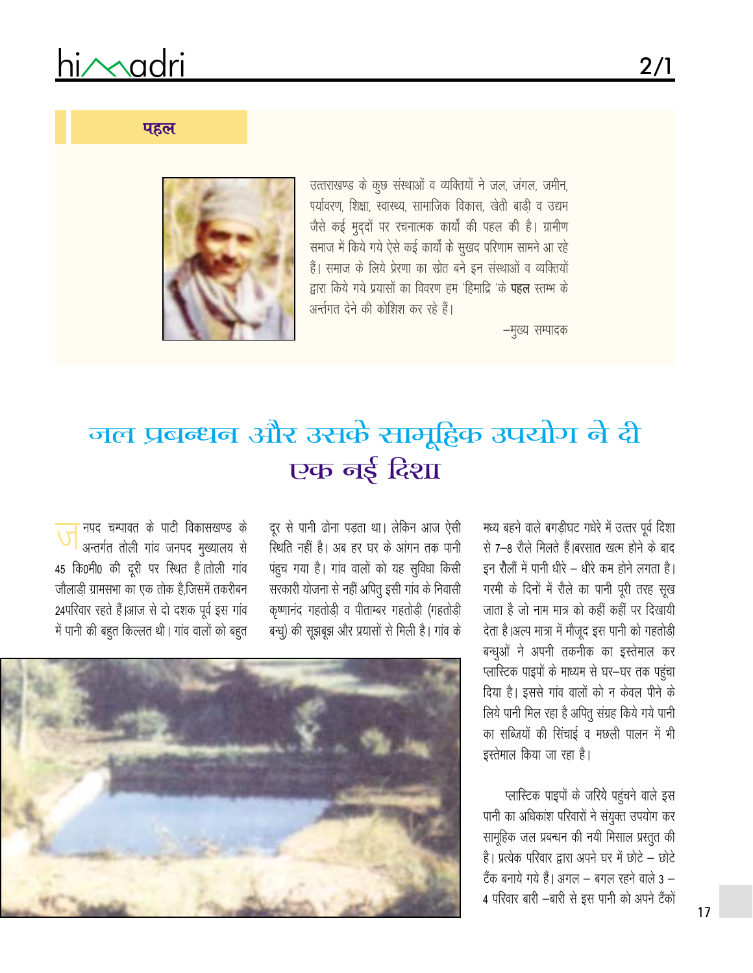# hi/madri

### पहल

उत्तराखण्ड के कुछ संस्थाओं व व्यक्तियों ने जल, जंगल, जमीन, पर्यावरण, शिक्षा, स्वास्थ्य, सामाजिक विकास, खेती बाडी व उद्यम जैसे कई मुददों पर रचनात्मक कार्यों की पहल की है। ग्रामीण समाज में किये गये ऐसे कई कार्यों के सुखद परिणाम सामने आ रहे हैं। समाज के लिये प्रेरणा का स्रोत बने इन संस्थाओं व व्यक्तियों द्वारा किये गये प्रयासों का विवरण हम 'हिमाद्रि 'के **पहल** स्तम्भ के अर्न्तगत देने की कोशिश कर रहे हैं।

–मुख्य सम्पादक



# जल प्रबन्धन और उसके सामूहिक उपयोग ने दी एक नई दिशा

मध्य बहने वाले बगडीघट गधेरे में उत्तर पूर्व दिशा से 7–8 रौले मिलते हैं।बरसात खत्म होने के बाद इन रौलों में पानी धीरे – धीरे कम होने लगता है। गरमी के दिनों में रौले का पानी पूरी तरह सूख जाता है जो नाम मात्र को कहीं कहीं पर दिखायी देता है।अल्प मात्रा में मौजूद इस पानी को गहतोड़ी बन्धूओं ने अपनी तकनीक का इस्तेमाल कर प्लास्टिक पाइपों के माध्यम से घर-घर तक पहुंचा दिया है। इससे गांव वालों को न केवल पीने के लिये पानी मिल रहा है अपितू संग्रह किये गये पानी का सब्जियों की सिंचाई व मछली पालन में भी इस्तेमाल किया जा रहा है।

प्लास्टिक पाइपों के जरिये पहुंचने वाले इस पानी का अधिकांश परिवारों ने संयुक्त उपयोग कर सामूहिक जल प्रबन्धन की नयी मिसाल प्रस्तुत की है। प्रत्येक परिवार द्वारा अपने घर में छोटे – छोटे टैंक बनाये गये हैं। अगल – बगल रहने वाले 3 – 4 परिवार बारी –बारी से इस पानी को अपने टैंकों

दूर से पानी ढोना पडता था। लेकिन आज ऐसी स्थिति नहीं है। अब हर घर के आंगन तक पानी पंहूच गया है। गांव वालों को यह सुविधा किसी सरकारी योजना से नहीं अपितू इसी गांव के निवासी कृष्णानंद गहतोड़ी व पीताम्बर गहतोड़ी (गहतोड़ी बन्धू) की सूझबूझ और प्रयासों से मिली है। गांव के

नपद चम्पावत के पाटी विकासखण्ड के अन्तर्गत तोली गांव जनपद मुख्यालय से 45 कि0मी0 की दूरी पर स्थित है।तोली गांव जौलाड़ी ग्रामसभा का एक तोक है.जिसमें तकरीबन 24परिवार रहते हैं।आज से दो दशक पूर्व इस गांव में पानी की बहुत किल्लत थी। गांव वालों को बहुत

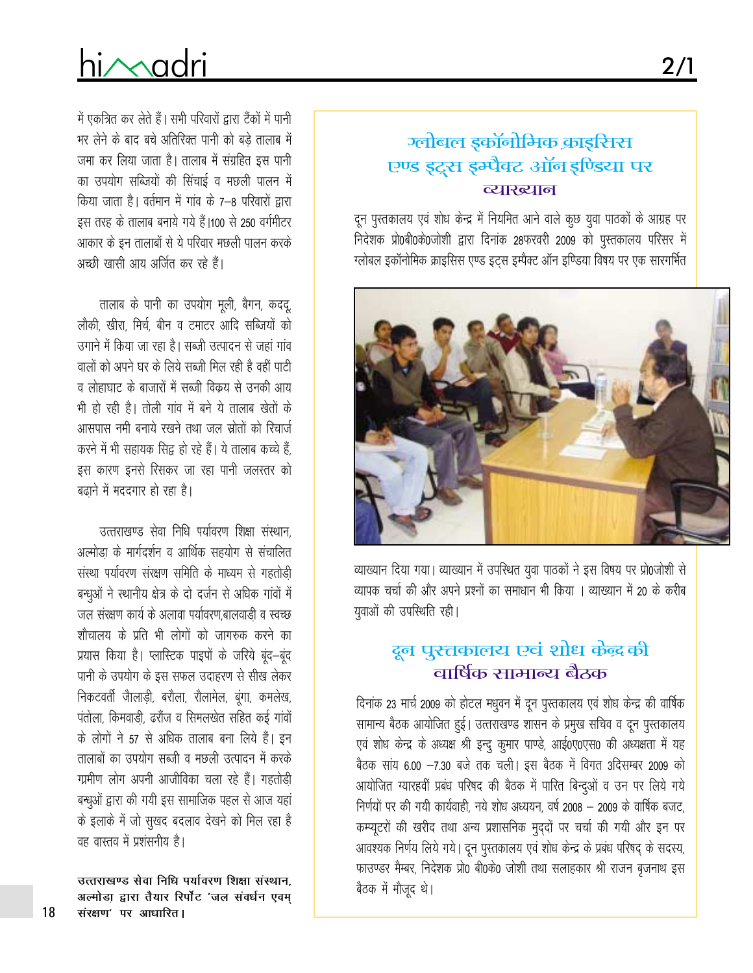# hi/Madri

## ग्लोबल इकॉनोमिक क्राइसिस एण्ड इट्स इम्पैक्ट ऑन इण्डिया पर व्याख्यान

 $2/1$ 

दून पुस्तकालय एवं शोध केन्द्र में नियमित आने वाले कूछ युवा पाठकों के आग्रह पर निदेशक प्रो0बी0के0जोशी द्वारा दिनांक 28फरवरी 2009 को पुस्तकालय परिसर में ग्लोबल इकॉनोमिक क्राइसिस एण्ड इट्स इम्पैक्ट ऑन इण्डिया विषय पर एक सारगर्मित



व्याख्यान दिया गया। व्याख्यान में उपस्थित युवा पाठकों ने इस विषय पर प्रो0जोशी से व्यापक चर्चा की और अपने प्रश्नों का समाधान भी किया । व्याख्यान में 20 के करीब युवाओं की उपस्थिति रही।

## दून पुस्तकालय एवं शोध केंद्र की वार्षिक सामान्य बैठक

दिनांक 23 मार्च 2009 को होटल मधुवन में दून पुस्तकालय एवं शोध केन्द्र की वार्षिक सामान्य बैठक आयोजित हुई। उत्तराखण्ड शासन के प्रमुख सचिव व दून पुस्तकालय एवं शोध केन्द्र के अध्यक्ष श्री इन्दू कुमार पाण्डे, आई0ए0एस0 की अध्यक्षता में यह बैठक सांय 6.00 -7.30 बजे तक चली। इस बैठक में विगत 3दिसम्बर 2009 को आयोजित ग्यारहवीं प्रबंध परिषद की बैठक में पारित बिन्दुओं व उन पर लिये गये निर्णयों पर की गयी कार्यवाही, नये शोध अध्ययन, वर्ष 2008 – 2009 के वार्षिक बजट, कम्प्यूटरों की खरीद तथा अन्य प्रशासनिक मुद्दों पर चर्चा की गयी और इन पर आवश्यक निर्णय लिये गये। दून पुस्तकालय एवं शोध केन्द्र के प्रबंध परिषद् के सदस्य, फाउण्डर मैम्बर, निदेशक प्रो0 बी0के0 जोशी तथा सलाहकार श्री राजन बृजनाथ इस बैठक में मौजूद थे।

में एकत्रित कर लेते हैं। सभी परिवारों द्वारा टैंकों में पानी भर लेने के बाद बचे अतिरिक्त पानी को बड़े तालाब में जमा कर लिया जाता है। तालाब में संग्रहित इस पानी का उपयोग सब्जियों की सिंचाई व मछली पालन में किया जाता है। वर्तमान में गांव के 7–8 परिवारों द्वारा इस तरह के तालाब बनाये गये हैं।100 से 250 वर्गमीटर आकार के इन तालाबों से ये परिवार मछली पालन करके अच्छी खासी आय अर्जित कर रहे हैं।

तालाब के पानी का उपयोग मूली, बैगन, कददू, लौकी, खीरा, मिर्च, बीन व टमाटर आदि सब्जियों को उगाने में किया जा रहा है। सब्जी उत्पादन से जहां गांव वालों को अपने घर के लिये सब्जी मिल रही है वहीं पाटी व लोहाघाट के बाजारों में सब्जी विक्रय से उनकी आय भी हो रही है। तोली गांव में बने ये तालाब खेतों के आसपास नमी बनाये रखने तथा जल स्रोतों को रिचार्ज करने में भी सहायक सिद्ध हो रहे हैं। ये तालाब कच्चे हैं इस कारण इनसे रिसकर जा रहा पानी जलस्तर को बढ़ाने में मददगार हो रहा है।

उत्तराखण्ड सेवा निधि पर्यावरण शिक्षा संस्थान अल्मोडा के मार्गदर्शन व आर्थिक सहयोग से संचालित संस्था पर्यावरण संरक्षण समिति के माध्यम से गहतोड़ी बन्धुओं ने स्थानीय क्षेत्र के दो दर्जन से अधिक गांवों में जल संरक्षण कार्य के अलावा पर्यावरण बालवाडी व स्वच्छ शौचालय के प्रति भी लोगों को जागरुक करने का प्रयास किया है। प्लास्टिक पाइपों के जरिये बंद-बंद पानी के उपयोग के इस सफल उदाहरण से सीख लेकर निकटवर्ती जाैलाडी, बरौला, रौलामेल, बुंगा, कमलेख, पंतोला, किमवाडी, ढरौंज व सिमलखेत सहित कई गांवों के लोगों ने 57 से अधिक तालाब बना लिये हैं। इन तालाबों का उपयोग सब्जी व मछली उत्पादन में करके ग्रामीण लोग अपनी आजीविका चला रहे हैं। गहतोड़ी बन्धूओं द्वारा की गयी इस सामाजिक पहल से आज यहां के इलाके में जो सुखद बदलाव देखने को मिल रहा है वह वास्तव में प्रशंसनीय है।

उत्तराखण्ड सेवा निधि पर्यावरण शिक्षा संस्थान. अल्मोडा द्वारा तैयार रिर्पोट 'जल संवर्धन एवम् संरक्षण' पर आधारित।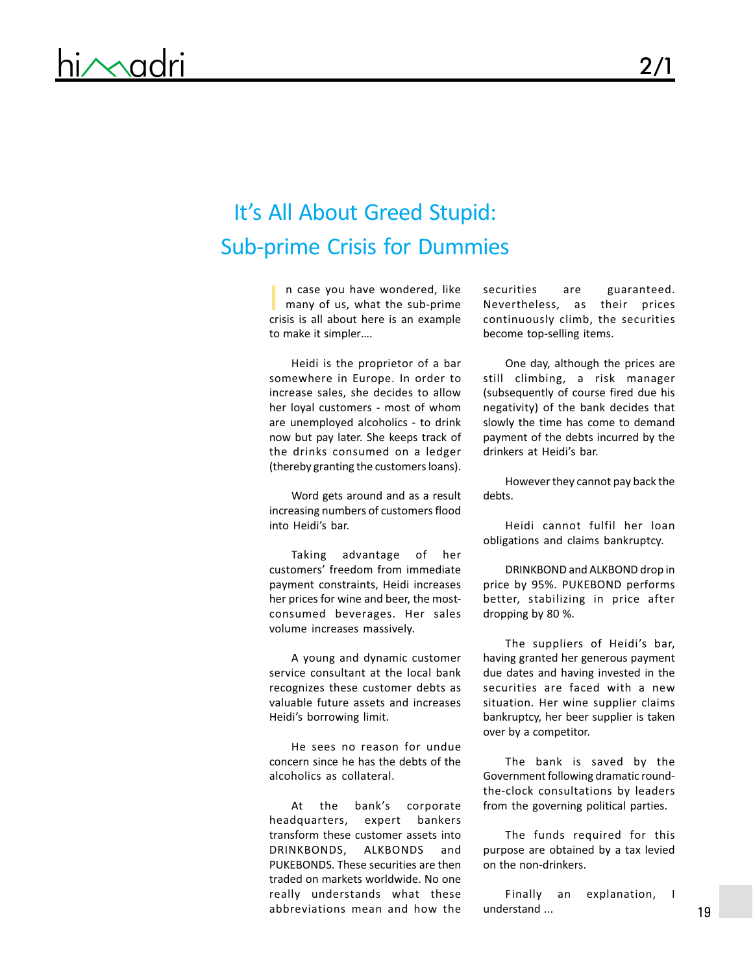# It's All About Greed Stupid: Sub-prime Crisis for Dummies

n case you have wondered, like securities are guaranteed.<br>
many of us, what the sub-prime Nevertheless, as their prices many of us, what the sub-prime crisis is all about here is an example to make it simpler….

Heidi is the proprietor of a bar somewhere in Europe. In order to increase sales, she decides to allow her loyal customers - most of whom are unemployed alcoholics - to drink now but pay later. She keeps track of the drinks consumed on a ledger (thereby granting the customers loans).

Word gets around and as a result increasing numbers of customers flood into Heidi's bar.

Taking advantage of her customers' freedom from immediate payment constraints, Heidi increases her prices for wine and beer, the mostconsumed beverages. Her sales volume increases massively.

A young and dynamic customer service consultant at the local bank recognizes these customer debts as valuable future assets and increases Heidi's borrowing limit.

He sees no reason for undue concern since he has the debts of the alcoholics as collateral.

At the bank's corporate headquarters, expert bankers transform these customer assets into DRINKBONDS, ALKBONDS and PUKEBONDS. These securities are then traded on markets worldwide. No one really understands what these abbreviations mean and how the

Nevertheless, as their prices continuously climb, the securities become top-selling items.

One day, although the prices are still climbing, a risk manager (subsequently of course fired due his negativity) of the bank decides that slowly the time has come to demand payment of the debts incurred by the drinkers at Heidi's bar.

However they cannot pay back the debts.

Heidi cannot fulfil her loan obligations and claims bankruptcy.

DRINKBOND and ALKBOND drop in price by 95%. PUKEBOND performs better, stabilizing in price after dropping by 80 %.

The suppliers of Heidi's bar, having granted her generous payment due dates and having invested in the securities are faced with a new situation. Her wine supplier claims bankruptcy, her beer supplier is taken over by a competitor.

The bank is saved by the Government following dramatic roundthe-clock consultations by leaders from the governing political parties.

The funds required for this purpose are obtained by a tax levied on the non-drinkers.

Finally an explanation, I understand ...